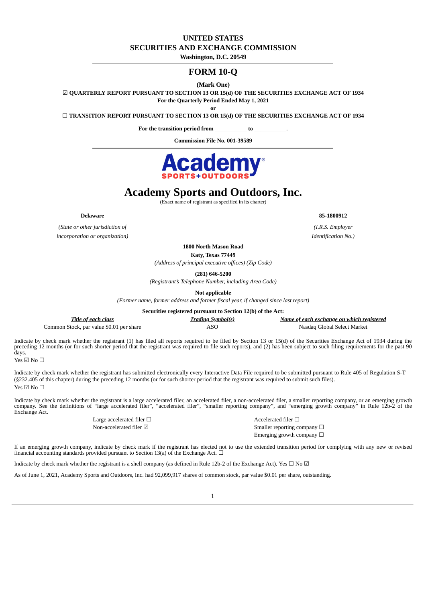# **UNITED STATES**

**SECURITIES AND EXCHANGE COMMISSION**

**Washington, D.C. 20549**

# **FORM 10-Q**

# **(Mark One)**

☑ **QUARTERLY REPORT PURSUANT TO SECTION 13 OR 15(d) OF THE SECURITIES EXCHANGE ACT OF 1934 For the Quarterly Period Ended May 1, 2021**

**or**

☐ **TRANSITION REPORT PURSUANT TO SECTION 13 OR 15(d) OF THE SECURITIES EXCHANGE ACT OF 1934**

**For the transition period from \_\_\_\_\_\_\_\_\_\_\_ to \_\_\_\_\_\_\_\_\_\_\_**.

**Commission File No. 001-39589**



# **Academy Sports and Outdoors, Inc.**

(Exact name of registrant as specified in its charter)

*(State or other jurisdiction of incorporation or organization)*

**Delaware 85-1800912**

*(I.R.S. Employer Identification No.)*

**1800 North Mason Road**

**Katy, Texas 77449**

*(Address of principal executive offices) (Zip Code)*

**(281) 646-5200**

*(Registrant's Telephone Number, including Area Code)*

**Not applicable**

*(Former name, former address and former fiscal year, if changed since last report)*

**Securities registered pursuant to Section 12(b) of the Act:**

Common Stock, par value \$0.01 per share ASO ASO Nasdaq Global Select Market

*Title of each class Trading Symbol(s) Name of each exchange on which registered*

Indicate by check mark whether the registrant (1) has filed all reports required to be filed by Section 13 or 15(d) of the Securities Exchange Act of 1934 during the preceding 12 months (or for such shorter period that the registrant was required to file such reports), and (2) has been subject to such filing requirements for the past 90 days.

Yes ☑ No □

Indicate by check mark whether the registrant has submitted electronically every Interactive Data File required to be submitted pursuant to Rule 405 of Regulation S-T (§232.405 of this chapter) during the preceding 12 months (or for such shorter period that the registrant was required to submit such files). Yes ☑ No □

Indicate by check mark whether the registrant is a large accelerated filer, an accelerated filer, a non-accelerated filer, a smaller reporting company, or an emerging growth company. See the definitions of "large accelerated filer", "accelerated filer", "smaller reporting company", and "emerging growth company" in Rule 12b-2 of the Exchange Act.

Large accelerated filer □ and a set of the accelerated filer □ Non-accelerated filer ☑ Smaller reporting company □ Emerging growth company  $\Box$ 

If an emerging growth company, indicate by check mark if the registrant has elected not to use the extended transition period for complying with any new or revised financial accounting standards provided pursuant to Section 13(a) of the Exchange Act.  $\Box$ 

Indicate by check mark whether the registrant is a shell company (as defined in Rule 12b-2 of the Exchange Act). Yes  $\Box$  No  $\Box$ 

As of June 1, 2021, Academy Sports and Outdoors, Inc. had 92,099,917 shares of common stock, par value \$0.01 per share, outstanding.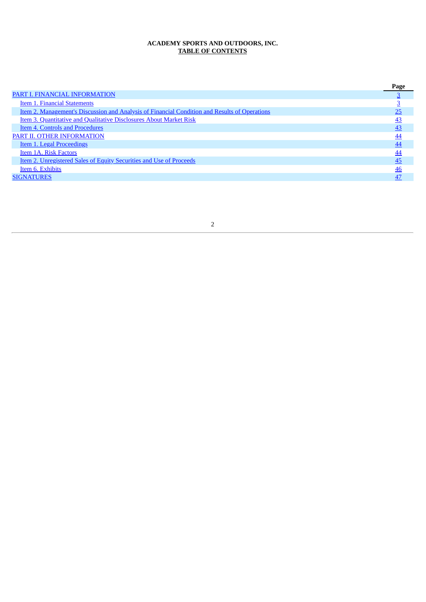# **ACADEMY SPORTS AND OUTDOORS, INC. TABLE OF CONTENTS**

<span id="page-1-0"></span>

|                                                                                               | Page      |
|-----------------------------------------------------------------------------------------------|-----------|
| PART I. FINANCIAL INFORMATION                                                                 |           |
| Item 1. Financial Statements                                                                  |           |
| Item 2. Management's Discussion and Analysis of Financial Condition and Results of Operations | 25        |
| <b>Item 3. Quantitative and Qualitative Disclosures About Market Risk</b>                     | 43        |
| Item 4. Controls and Procedures                                                               | 43        |
| PART II. OTHER INFORMATION                                                                    | <u>44</u> |
| Item 1. Legal Proceedings                                                                     | <u>44</u> |
| Item 1A. Risk Factors                                                                         | 44        |
| <u>Item 2. Unregistered Sales of Equity Securities and Use of Proceeds</u>                    | 45        |
| Item 6. Exhibits                                                                              | 46        |
| <b>SIGNATURES</b>                                                                             | 47        |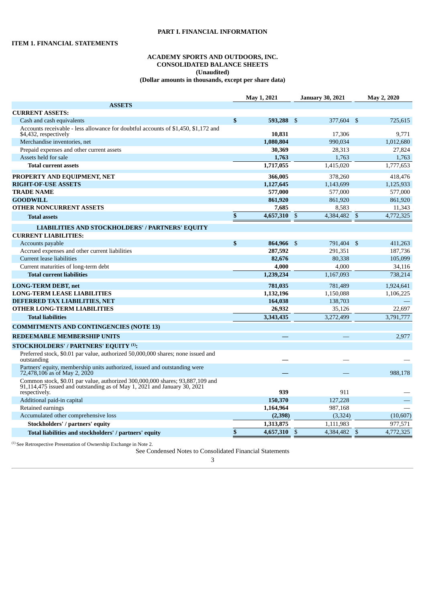# **PART I. FINANCIAL INFORMATION**

# <span id="page-2-0"></span>**ITEM 1. FINANCIAL STATEMENTS**

# **ACADEMY SPORTS AND OUTDOORS, INC. CONSOLIDATED BALANCE SHEETS (Unaudited) (Dollar amounts in thousands, except per share data)**

|                                                                                                                                                                            | May 1, 2021      |                | <b>January 30, 2021</b> |     | May 2, 2020 |
|----------------------------------------------------------------------------------------------------------------------------------------------------------------------------|------------------|----------------|-------------------------|-----|-------------|
| <b>ASSETS</b>                                                                                                                                                              |                  |                |                         |     |             |
| <b>CURRENT ASSETS:</b>                                                                                                                                                     |                  |                |                         |     |             |
| Cash and cash equivalents                                                                                                                                                  | \$<br>593,288 \$ |                | 377,604 \$              |     | 725,615     |
| Accounts receivable - less allowance for doubtful accounts of \$1,450, \$1,172 and<br>\$4,432, respectively                                                                | 10,831           |                | 17,306                  |     | 9.771       |
| Merchandise inventories, net                                                                                                                                               | 1,080,804        |                | 990.034                 |     | 1,012,680   |
| Prepaid expenses and other current assets                                                                                                                                  | 30,369           |                | 28,313                  |     | 27,824      |
| Assets held for sale                                                                                                                                                       | 1,763            |                | 1,763                   |     | 1,763       |
| <b>Total current assets</b>                                                                                                                                                | 1,717,055        |                | 1,415,020               |     | 1,777,653   |
| PROPERTY AND EQUIPMENT, NET                                                                                                                                                | 366,005          |                | 378,260                 |     | 418,476     |
| <b>RIGHT-OF-USE ASSETS</b>                                                                                                                                                 | 1,127,645        |                | 1,143,699               |     | 1.125.933   |
| <b>TRADE NAME</b>                                                                                                                                                          | 577,000          |                | 577,000                 |     | 577,000     |
| <b>GOODWILL</b>                                                                                                                                                            | 861,920          |                | 861,920                 |     | 861,920     |
| <b>OTHER NONCURRENT ASSETS</b>                                                                                                                                             | 7,685            |                | 8,583                   |     | 11,343      |
| <b>Total assets</b>                                                                                                                                                        | \$<br>4,657,310  | $\mathfrak{s}$ | 4,384,482               | -\$ | 4,772,325   |
| LIABILITIES AND STOCKHOLDERS' / PARTNERS' EQUITY                                                                                                                           |                  |                |                         |     |             |
| <b>CURRENT LIABILITIES:</b>                                                                                                                                                |                  |                |                         |     |             |
| Accounts payable                                                                                                                                                           | \$<br>864,966    | \$             | 791,404 \$              |     | 411,263     |
| Accrued expenses and other current liabilities                                                                                                                             | 287,592          |                | 291,351                 |     | 187,736     |
| Current lease liabilities                                                                                                                                                  | 82,676           |                | 80,338                  |     | 105,099     |
| Current maturities of long-term debt                                                                                                                                       | 4.000            |                | 4.000                   |     | 34.116      |
| <b>Total current liabilities</b>                                                                                                                                           | 1,239,234        |                | 1,167,093               |     | 738,214     |
| <b>LONG-TERM DEBT, net</b>                                                                                                                                                 | 781,035          |                | 781,489                 |     | 1,924,641   |
| <b>LONG-TERM LEASE LIABILITIES</b>                                                                                                                                         | 1,132,196        |                | 1,150,088               |     | 1,106,225   |
| DEFERRED TAX LIABILITIES, NET                                                                                                                                              | 164,038          |                | 138,703                 |     |             |
| <b>OTHER LONG-TERM LIABILITIES</b>                                                                                                                                         | 26,932           |                | 35,126                  |     | 22,697      |
| <b>Total liabilities</b>                                                                                                                                                   | 3,343,435        |                | 3,272,499               |     | 3,791,777   |
| <b>COMMITMENTS AND CONTINGENCIES (NOTE 13)</b>                                                                                                                             |                  |                |                         |     |             |
| <b>REDEEMABLE MEMBERSHIP UNITS</b>                                                                                                                                         |                  |                |                         |     | 2.977       |
| STOCKHOLDERS' / PARTNERS' EQUITY <sup>(1)</sup> :                                                                                                                          |                  |                |                         |     |             |
| Preferred stock, \$0.01 par value, authorized 50,000,000 shares; none issued and<br>outstanding                                                                            |                  |                |                         |     |             |
| Partners' equity, membership units authorized, issued and outstanding were<br>72,478,106 as of May 2, 2020                                                                 |                  |                |                         |     | 988.178     |
| Common stock, \$0.01 par value, authorized 300,000,000 shares; 93,887,109 and<br>91,114,475 issued and outstanding as of May 1, 2021 and January 30, 2021<br>respectively. | 939              |                | 911                     |     |             |
| Additional paid-in capital                                                                                                                                                 | 150,370          |                | 127,228                 |     |             |
| Retained earnings                                                                                                                                                          | 1,164,964        |                | 987,168                 |     |             |
| Accumulated other comprehensive loss                                                                                                                                       | (2,398)          |                | (3, 324)                |     | (10,607)    |
| Stockholders' / partners' equity                                                                                                                                           | 1,313,875        |                | 1,111,983               |     | 977,571     |
| Total liabilities and stockholders' / partners' equity                                                                                                                     | \$<br>4,657,310  | $\mathfrak{S}$ | 4,384,482 \$            |     | 4,772,325   |

 $<sup>(1)</sup>$  See Retrospective Presentation of Ownership Exchange in Note 2.</sup>

See Condensed Notes to Consolidated Financial Statements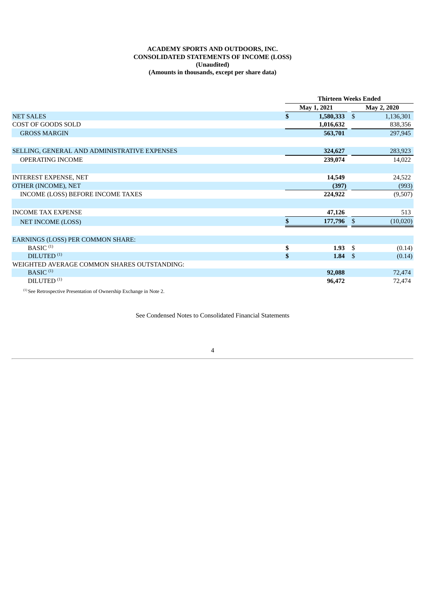# **ACADEMY SPORTS AND OUTDOORS, INC. CONSOLIDATED STATEMENTS OF INCOME (LOSS) (Unaudited) (Amounts in thousands, except per share data)**

|                                              |              | <b>Thirteen Weeks Ended</b> |  |             |  |  |
|----------------------------------------------|--------------|-----------------------------|--|-------------|--|--|
|                                              |              | May 1, 2021                 |  | May 2, 2020 |  |  |
| <b>NET SALES</b>                             | $\mathbf{s}$ | $1,580,333$ \$              |  | 1,136,301   |  |  |
| COST OF GOODS SOLD                           |              | 1,016,632                   |  | 838,356     |  |  |
| <b>GROSS MARGIN</b>                          |              | 563,701                     |  | 297,945     |  |  |
|                                              |              |                             |  |             |  |  |
| SELLING, GENERAL AND ADMINISTRATIVE EXPENSES |              | 324,627                     |  | 283,923     |  |  |
| OPERATING INCOME                             |              | 239,074                     |  | 14,022      |  |  |
|                                              |              |                             |  |             |  |  |
| <b>INTEREST EXPENSE, NET</b>                 |              | 14,549                      |  | 24,522      |  |  |
| OTHER (INCOME), NET                          |              | (397)                       |  | (993)       |  |  |
| INCOME (LOSS) BEFORE INCOME TAXES            |              | 224,922                     |  | (9,507)     |  |  |
|                                              |              |                             |  |             |  |  |
| <b>INCOME TAX EXPENSE</b>                    |              | 47,126                      |  | 513         |  |  |
| <b>NET INCOME (LOSS)</b>                     | \$           | 177,796 \$                  |  | (10,020)    |  |  |
|                                              |              |                             |  |             |  |  |
| EARNINGS (LOSS) PER COMMON SHARE:            |              |                             |  |             |  |  |
| BASIC <sup>(1)</sup>                         | \$           | $1.93 \quad$ \$             |  | (0.14)      |  |  |
| DILUTED <sup>(1)</sup>                       | \$           | 1.84 $\frac{1}{3}$          |  | (0.14)      |  |  |
| WEIGHTED AVERAGE COMMON SHARES OUTSTANDING:  |              |                             |  |             |  |  |
| BASIC <sup>(1)</sup>                         |              | 92,088                      |  | 72,474      |  |  |
| $DILLU$ TED $(1)$                            |              | 96,472                      |  | 72,474      |  |  |

 $<sup>(1)</sup>$  See Retrospective Presentation of Ownership Exchange in Note 2.</sup>

See Condensed Notes to Consolidated Financial Statements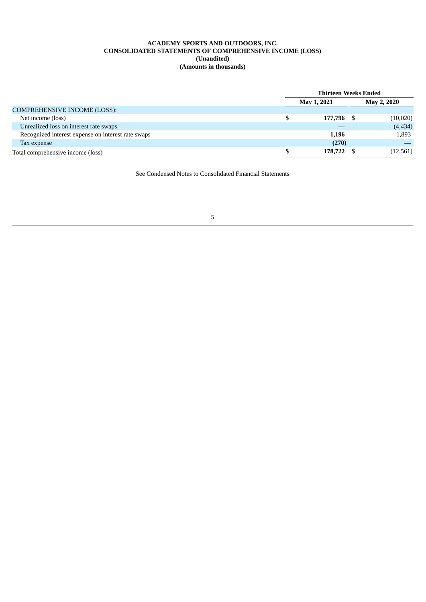# **ACADEMY SPORTS AND OUTDOORS, INC. CONSOLIDATED STATEMENTS OF COMPREHENSIVE INCOME (LOSS) (Unaudited) (Amounts in thousands)**

|                                                    |             | <b>Thirteen Weeks Ended</b> |  |             |  |  |
|----------------------------------------------------|-------------|-----------------------------|--|-------------|--|--|
|                                                    | May 1, 2021 |                             |  | May 2, 2020 |  |  |
| <b>COMPREHENSIVE INCOME (LOSS):</b>                |             |                             |  |             |  |  |
| Net income (loss)                                  |             | 177,796                     |  | (10,020)    |  |  |
| Unrealized loss on interest rate swaps             |             |                             |  | (4,434)     |  |  |
| Recognized interest expense on interest rate swaps |             | 1,196                       |  | 1,893       |  |  |
| Tax expense                                        |             | (270)                       |  |             |  |  |
| Total comprehensive income (loss)                  |             | 178,722                     |  | (12, 561)   |  |  |

See Condensed Notes to Consolidated Financial Statements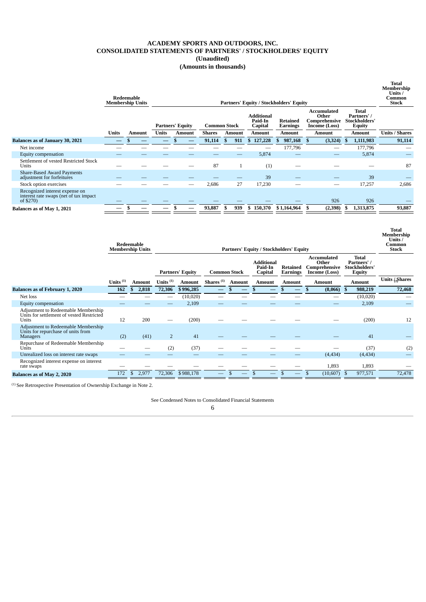# **ACADEMY SPORTS AND OUTDOORS, INC. CONSOLIDATED STATEMENTS OF PARTNERS' / STOCKHOLDERS' EQUITY (Unaudited) (Amounts in thousands)**

|                                                                                       | Redeemable<br><b>Membership Units</b> |  |        |                         |  |                     |               |                                         |                                    | <b>Partners' Equity / Stockholders' Equity</b> |    |                                                               |     |                                                       |   |           | <b>Total</b><br>Membership<br>Units/<br>Common<br><b>Stock</b> |  |    |  |  |  |  |  |  |  |  |  |  |  |  |  |  |  |  |  |  |  |  |  |  |  |  |  |  |  |  |  |  |  |  |  |  |  |  |  |  |  |  |        |  |        |                       |
|---------------------------------------------------------------------------------------|---------------------------------------|--|--------|-------------------------|--|---------------------|---------------|-----------------------------------------|------------------------------------|------------------------------------------------|----|---------------------------------------------------------------|-----|-------------------------------------------------------|---|-----------|----------------------------------------------------------------|--|----|--|--|--|--|--|--|--|--|--|--|--|--|--|--|--|--|--|--|--|--|--|--|--|--|--|--|--|--|--|--|--|--|--|--|--|--|--|--|--|--|--------|--|--------|-----------------------|
|                                                                                       |                                       |  |        | <b>Partners' Equity</b> |  | <b>Common Stock</b> |               | <b>Additional</b><br>Paid-In<br>Capital | <b>Retained</b><br><b>Earnings</b> |                                                |    | Accumulated<br>Other<br>Comprehensive<br><b>Income (Loss)</b> |     | <b>Total</b><br>Partners'/<br>Stockholders'<br>Equity |   |           |                                                                |  |    |  |  |  |  |  |  |  |  |  |  |  |  |  |  |  |  |  |  |  |  |  |  |  |  |  |  |  |  |  |  |  |  |  |  |  |  |  |  |  |  |        |  |        |                       |
|                                                                                       | <b>Units</b>                          |  | Amount | <b>Units</b>            |  | <b>Amount</b>       | <b>Shares</b> |                                         | Amount                             | Amount                                         |    | Amount                                                        |     |                                                       |   |           |                                                                |  |    |  |  |  |  |  |  |  |  |  |  |  |  |  |  |  |  |  |  |  |  |  |  |  |  |  |  |  |  |  |  |  |  |  |  |  |  |  |  |  |  | Amount |  | Amount | <b>Units / Shares</b> |
| Balances as of January 30, 2021                                                       |                                       |  |        |                         |  |                     | 91,114        |                                         | 911                                | 127,228                                        | ä. | 987,168                                                       | S   | (3, 324)                                              | Ъ | 1,111,983 | 91,114                                                         |  |    |  |  |  |  |  |  |  |  |  |  |  |  |  |  |  |  |  |  |  |  |  |  |  |  |  |  |  |  |  |  |  |  |  |  |  |  |  |  |  |  |        |  |        |                       |
| Net income                                                                            |                                       |  |        |                         |  |                     |               |                                         |                                    |                                                |    | 177,796                                                       |     | –                                                     |   | 177,796   |                                                                |  |    |  |  |  |  |  |  |  |  |  |  |  |  |  |  |  |  |  |  |  |  |  |  |  |  |  |  |  |  |  |  |  |  |  |  |  |  |  |  |  |  |        |  |        |                       |
| Equity compensation                                                                   |                                       |  |        |                         |  |                     |               |                                         |                                    | 5,874                                          |    |                                                               |     | _                                                     |   | 5,874     |                                                                |  |    |  |  |  |  |  |  |  |  |  |  |  |  |  |  |  |  |  |  |  |  |  |  |  |  |  |  |  |  |  |  |  |  |  |  |  |  |  |  |  |  |        |  |        |                       |
| Settlement of vested Restricted Stock<br>Units                                        |                                       |  |        |                         |  |                     | 87            |                                         |                                    | (1)                                            |    |                                                               |     |                                                       |   |           |                                                                |  | 87 |  |  |  |  |  |  |  |  |  |  |  |  |  |  |  |  |  |  |  |  |  |  |  |  |  |  |  |  |  |  |  |  |  |  |  |  |  |  |  |  |        |  |        |                       |
| <b>Share-Based Award Payments</b><br>adjustment for forfeitures                       |                                       |  |        |                         |  |                     |               |                                         |                                    | 39                                             |    |                                                               |     |                                                       |   | 39        |                                                                |  |    |  |  |  |  |  |  |  |  |  |  |  |  |  |  |  |  |  |  |  |  |  |  |  |  |  |  |  |  |  |  |  |  |  |  |  |  |  |  |  |  |        |  |        |                       |
| Stock option exercises                                                                |                                       |  |        |                         |  |                     | 2,686         |                                         | 27                                 | 17,230                                         |    |                                                               |     |                                                       |   | 17,257    | 2,686                                                          |  |    |  |  |  |  |  |  |  |  |  |  |  |  |  |  |  |  |  |  |  |  |  |  |  |  |  |  |  |  |  |  |  |  |  |  |  |  |  |  |  |  |        |  |        |                       |
| Recognized interest expense on<br>interest rate swaps (net of tax impact<br>of \$270) |                                       |  |        |                         |  |                     |               |                                         |                                    |                                                |    |                                                               |     | 926                                                   |   | 926       |                                                                |  |    |  |  |  |  |  |  |  |  |  |  |  |  |  |  |  |  |  |  |  |  |  |  |  |  |  |  |  |  |  |  |  |  |  |  |  |  |  |  |  |  |        |  |        |                       |
| Balances as of May 1, 2021                                                            |                                       |  |        |                         |  |                     | 93,887        |                                         | 939                                | 150,370<br>S                                   |    | \$1,164,964                                                   | эħ. | (2,398)                                               |   | 1,313,875 | 93,887                                                         |  |    |  |  |  |  |  |  |  |  |  |  |  |  |  |  |  |  |  |  |  |  |  |  |  |  |  |  |  |  |  |  |  |  |  |  |  |  |  |  |  |  |        |  |        |                       |

|                                                                                              |             | Redeemable<br><b>Membership Units</b> |                |                         |                       |                                                                | Partners' Equity / Stockholders' Equity |                             |                                                               |                                                      | <b>Total</b><br>Membership<br>Units /<br>Common<br><b>Stock</b> |
|----------------------------------------------------------------------------------------------|-------------|---------------------------------------|----------------|-------------------------|-----------------------|----------------------------------------------------------------|-----------------------------------------|-----------------------------|---------------------------------------------------------------|------------------------------------------------------|-----------------------------------------------------------------|
|                                                                                              |             |                                       |                | <b>Partners' Equity</b> |                       | <b>Additional</b><br>Paid-In<br><b>Common Stock</b><br>Capital |                                         | Retained<br><b>Earnings</b> | <b>Accumulated</b><br>Other<br>Comprehensive<br>Income (Loss) | <b>Total</b><br>Partners'<br>Stockholders'<br>Equity |                                                                 |
|                                                                                              | Units $(1)$ | <b>Amount</b>                         | Units $(1)$    | <b>Amount</b>           | Shares <sup>(1)</sup> | <b>Amount</b>                                                  | <b>Amount</b>                           | <b>Amount</b>               | <b>Amount</b>                                                 | <b>Amount</b>                                        | Units $\sqrt{\frac{1}{2}}$ shares                               |
| <b>Balances as of February 1, 2020</b>                                                       | 162         | 2,818                                 | 72,306         | \$996,285               |                       |                                                                |                                         |                             | (8,066)<br>\$.                                                | 988,219<br>- \$                                      | 72,468                                                          |
| Net loss                                                                                     |             |                                       |                | (10,020)                |                       |                                                                |                                         |                             |                                                               | (10,020)                                             |                                                                 |
| Equity compensation                                                                          |             |                                       |                | 2,109                   |                       |                                                                |                                         |                             |                                                               | 2,109                                                |                                                                 |
| Adjustment to Redeemable Membership<br>Units for settlement of vested Restricted<br>Units    | 12          | 200                                   |                | (200)                   |                       |                                                                |                                         |                             |                                                               | (200)                                                | 12                                                              |
| Adjustment to Redeemable Membership<br>Units for repurchase of units from<br><b>Managers</b> | (2)         | (41)                                  | $\overline{2}$ | 41                      |                       |                                                                |                                         |                             |                                                               | 41                                                   |                                                                 |
| Repurchase of Redeemable Membership<br>Units                                                 |             |                                       | (2)            | (37)                    |                       |                                                                |                                         |                             |                                                               | (37)                                                 | (2)                                                             |
| Unrealized loss on interest rate swaps                                                       |             |                                       |                | –                       |                       |                                                                |                                         |                             | (4,434)                                                       | (4, 434)                                             |                                                                 |
| Recognized interest expense on interest<br>rate swaps                                        |             |                                       |                |                         |                       |                                                                |                                         |                             | 1,893                                                         | 1,893                                                |                                                                 |
| Balances as of May 2, 2020                                                                   | 172         | 2,977<br>\$.                          | 72,306         | \$988,178               |                       |                                                                |                                         |                             | (10,607)                                                      | 977,571<br>D.                                        | 72,478                                                          |
|                                                                                              |             |                                       |                |                         |                       |                                                                |                                         |                             |                                                               |                                                      |                                                                 |

 $<sup>(1)</sup>$  See Retrospective Presentation of Ownership Exchange in Note 2.</sup>

See Condensed Notes to Consolidated Financial Statements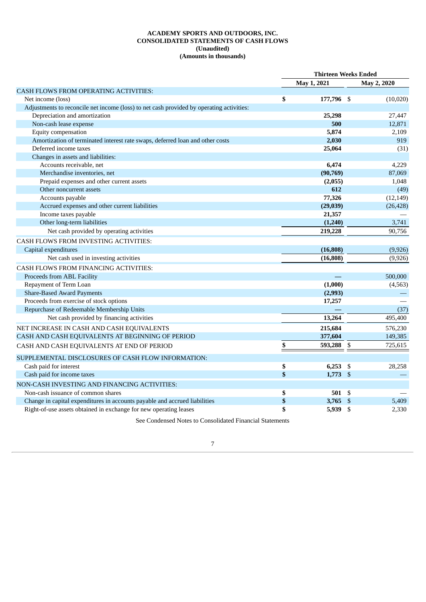# **ACADEMY SPORTS AND OUTDOORS, INC. CONSOLIDATED STATEMENTS OF CASH FLOWS (Unaudited) (Amounts in thousands)**

|                                                                                          | Thirteen Weeks Ended |             |                           |             |  |
|------------------------------------------------------------------------------------------|----------------------|-------------|---------------------------|-------------|--|
|                                                                                          |                      | May 1, 2021 |                           | May 2, 2020 |  |
| <b>CASH FLOWS FROM OPERATING ACTIVITIES:</b>                                             |                      |             |                           |             |  |
| Net income (loss)                                                                        | \$                   | 177,796 \$  |                           | (10,020)    |  |
| Adjustments to reconcile net income (loss) to net cash provided by operating activities: |                      |             |                           |             |  |
| Depreciation and amortization                                                            |                      | 25,298      |                           | 27,447      |  |
| Non-cash lease expense                                                                   |                      | 500         |                           | 12,871      |  |
| Equity compensation                                                                      |                      | 5,874       |                           | 2,109       |  |
| Amortization of terminated interest rate swaps, deferred loan and other costs            |                      | 2,030       |                           | 919         |  |
| Deferred income taxes                                                                    |                      | 25,064      |                           | (31)        |  |
| Changes in assets and liabilities:                                                       |                      |             |                           |             |  |
| Accounts receivable, net                                                                 |                      | 6,474       |                           | 4,229       |  |
| Merchandise inventories, net                                                             |                      | (90, 769)   |                           | 87,069      |  |
| Prepaid expenses and other current assets                                                |                      | (2,055)     |                           | 1,048       |  |
| Other noncurrent assets                                                                  |                      | 612         |                           | (49)        |  |
| Accounts payable                                                                         |                      | 77,326      |                           | (12, 149)   |  |
| Accrued expenses and other current liabilities                                           |                      | (29, 039)   |                           | (26, 428)   |  |
| Income taxes payable                                                                     |                      | 21,357      |                           |             |  |
| Other long-term liabilities                                                              |                      | (1,240)     |                           | 3,741       |  |
| Net cash provided by operating activities                                                |                      | 219,228     |                           | 90,756      |  |
| CASH FLOWS FROM INVESTING ACTIVITIES:                                                    |                      |             |                           |             |  |
| Capital expenditures                                                                     |                      | (16, 808)   |                           | (9,926)     |  |
| Net cash used in investing activities                                                    |                      | (16, 808)   |                           | (9,926)     |  |
| CASH FLOWS FROM FINANCING ACTIVITIES:                                                    |                      |             |                           |             |  |
| Proceeds from ABL Facility                                                               |                      |             |                           | 500,000     |  |
| Repayment of Term Loan                                                                   |                      | (1,000)     |                           | (4, 563)    |  |
| <b>Share-Based Award Payments</b>                                                        |                      | (2,993)     |                           |             |  |
| Proceeds from exercise of stock options                                                  |                      | 17,257      |                           |             |  |
| Repurchase of Redeemable Membership Units                                                |                      |             |                           | (37)        |  |
| Net cash provided by financing activities                                                |                      | 13,264      |                           | 495,400     |  |
| NET INCREASE IN CASH AND CASH EQUIVALENTS                                                |                      | 215,684     |                           | 576,230     |  |
| CASH AND CASH EQUIVALENTS AT BEGINNING OF PERIOD                                         |                      | 377,604     |                           | 149,385     |  |
| CASH AND CASH EQUIVALENTS AT END OF PERIOD                                               | \$                   | 593,288     | \$                        | 725,615     |  |
| SUPPLEMENTAL DISCLOSURES OF CASH FLOW INFORMATION:                                       |                      |             |                           |             |  |
| Cash paid for interest                                                                   | \$                   | 6,253       | \$                        | 28,258      |  |
| Cash paid for income taxes                                                               | \$                   | $1,773$ \$  |                           |             |  |
| NON-CASH INVESTING AND FINANCING ACTIVITIES:                                             |                      |             |                           |             |  |
| Non-cash issuance of common shares                                                       | \$                   | 501         | \$                        |             |  |
| Change in capital expenditures in accounts payable and accrued liabilities               | \$                   | 3,765       | $\boldsymbol{\mathsf{S}}$ | 5,409       |  |
| Right-of-use assets obtained in exchange for new operating leases                        | \$                   | 5,939       | \$                        | 2,330       |  |

See Condensed Notes to Consolidated Financial Statements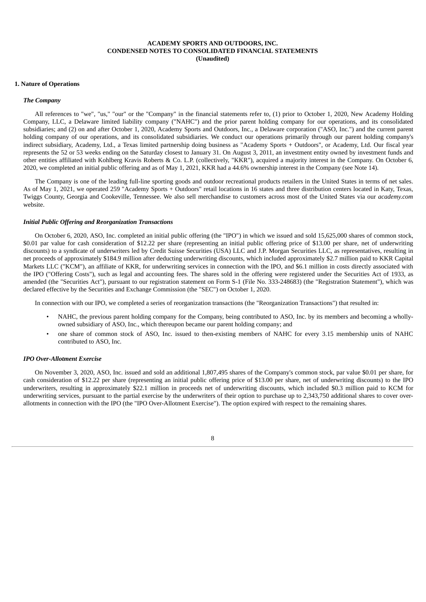# **ACADEMY SPORTS AND OUTDOORS, INC. CONDENSED NOTES TO CONSOLIDATED FINANCIAL STATEMENTS (Unaudited)**

#### **1. Nature of Operations**

#### *The Company*

All references to "we", "us," "our" or the "Company" in the financial statements refer to, (1) prior to October 1, 2020, New Academy Holding Company, LLC, a Delaware limited liability company ("NAHC") and the prior parent holding company for our operations, and its consolidated subsidiaries; and (2) on and after October 1, 2020, Academy Sports and Outdoors, Inc., a Delaware corporation ("ASO, Inc.") and the current parent holding company of our operations, and its consolidated subsidiaries. We conduct our operations primarily through our parent holding company's indirect subsidiary, Academy, Ltd., a Texas limited partnership doing business as "Academy Sports + Outdoors", or Academy, Ltd. Our fiscal year represents the 52 or 53 weeks ending on the Saturday closest to January 31. On August 3, 2011, an investment entity owned by investment funds and other entities affiliated with Kohlberg Kravis Roberts & Co. L.P. (collectively, "KKR"), acquired a majority interest in the Company. On October 6, 2020, we completed an initial public offering and as of May 1, 2021, KKR had a 44.6% ownership interest in the Company (see Note 14).

The Company is one of the leading full-line sporting goods and outdoor recreational products retailers in the United States in terms of net sales. As of May 1, 2021, we operated 259 "Academy Sports + Outdoors" retail locations in 16 states and three distribution centers located in Katy, Texas, Twiggs County, Georgia and Cookeville, Tennessee. We also sell merchandise to customers across most of the United States via our *academy.com* website.

#### *Initial Public Offering and Reorganization Transactions*

On October 6, 2020, ASO, Inc. completed an initial public offering (the "IPO") in which we issued and sold 15,625,000 shares of common stock, \$0.01 par value for cash consideration of \$12.22 per share (representing an initial public offering price of \$13.00 per share, net of underwriting discounts) to a syndicate of underwriters led by Credit Suisse Securities (USA) LLC and J.P. Morgan Securities LLC, as representatives, resulting in net proceeds of approximately \$184.9 million after deducting underwriting discounts, which included approximately \$2.7 million paid to KKR Capital Markets LLC ("KCM"), an affiliate of KKR, for underwriting services in connection with the IPO, and \$6.1 million in costs directly associated with the IPO ("Offering Costs"), such as legal and accounting fees. The shares sold in the offering were registered under the Securities Act of 1933, as amended (the "Securities Act"), pursuant to our registration statement on Form S-1 (File No. 333-248683) (the "Registration Statement"), which was declared effective by the Securities and Exchange Commission (the "SEC") on October 1, 2020.

In connection with our IPO, we completed a series of reorganization transactions (the "Reorganization Transactions") that resulted in:

- NAHC, the previous parent holding company for the Company, being contributed to ASO, Inc. by its members and becoming a whollyowned subsidiary of ASO, Inc., which thereupon became our parent holding company; and
- one share of common stock of ASO, Inc. issued to then-existing members of NAHC for every 3.15 membership units of NAHC contributed to ASO, Inc.

#### *IPO Over-Allotment Exercise*

On November 3, 2020, ASO, Inc. issued and sold an additional 1,807,495 shares of the Company's common stock, par value \$0.01 per share, for cash consideration of \$12.22 per share (representing an initial public offering price of \$13.00 per share, net of underwriting discounts) to the IPO underwriters, resulting in approximately \$22.1 million in proceeds net of underwriting discounts, which included \$0.3 million paid to KCM for underwriting services, pursuant to the partial exercise by the underwriters of their option to purchase up to 2,343,750 additional shares to cover overallotments in connection with the IPO (the "IPO Over-Allotment Exercise"). The option expired with respect to the remaining shares.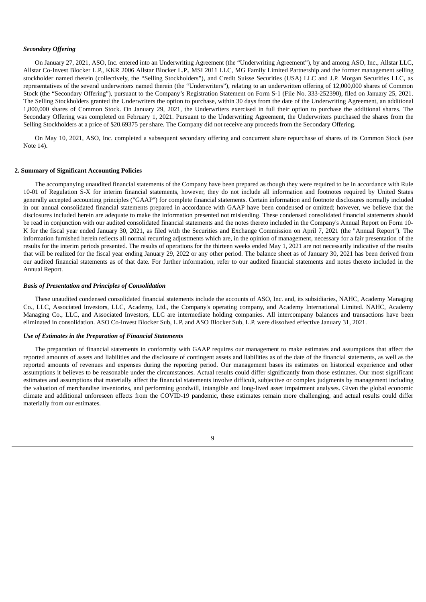#### *Secondary Offering*

On January 27, 2021, ASO, Inc. entered into an Underwriting Agreement (the "Underwriting Agreement"), by and among ASO, Inc., Allstar LLC, Allstar Co-Invest Blocker L.P., KKR 2006 Allstar Blocker L.P., MSI 2011 LLC, MG Family Limited Partnership and the former management selling stockholder named therein (collectively, the "Selling Stockholders"), and Credit Suisse Securities (USA) LLC and J.P. Morgan Securities LLC, as representatives of the several underwriters named therein (the "Underwriters"), relating to an underwritten offering of 12,000,000 shares of Common Stock (the "Secondary Offering"), pursuant to the Company's Registration Statement on Form S-1 (File No. 333-252390), filed on January 25, 2021. The Selling Stockholders granted the Underwriters the option to purchase, within 30 days from the date of the Underwriting Agreement, an additional 1,800,000 shares of Common Stock. On January 29, 2021, the Underwriters exercised in full their option to purchase the additional shares. The Secondary Offering was completed on February 1, 2021. Pursuant to the Underwriting Agreement, the Underwriters purchased the shares from the Selling Stockholders at a price of \$20.69375 per share. The Company did not receive any proceeds from the Secondary Offering.

On May 10, 2021, ASO, Inc. completed a subsequent secondary offering and concurrent share repurchase of shares of its Common Stock (see Note 14).

#### **2. Summary of Significant Accounting Policies**

The accompanying unaudited financial statements of the Company have been prepared as though they were required to be in accordance with Rule 10-01 of Regulation S-X for interim financial statements, however, they do not include all information and footnotes required by United States generally accepted accounting principles ("GAAP") for complete financial statements. Certain information and footnote disclosures normally included in our annual consolidated financial statements prepared in accordance with GAAP have been condensed or omitted; however, we believe that the disclosures included herein are adequate to make the information presented not misleading. These condensed consolidated financial statements should be read in conjunction with our audited consolidated financial statements and the notes thereto included in the Company's Annual Report on Form 10- K for the fiscal year ended January 30, 2021, as filed with the Securities and Exchange Commission on April 7, 2021 (the "Annual Report"). The information furnished herein reflects all normal recurring adjustments which are, in the opinion of management, necessary for a fair presentation of the results for the interim periods presented. The results of operations for the thirteen weeks ended May 1, 2021 are not necessarily indicative of the results that will be realized for the fiscal year ending January 29, 2022 or any other period. The balance sheet as of January 30, 2021 has been derived from our audited financial statements as of that date. For further information, refer to our audited financial statements and notes thereto included in the Annual Report.

#### *Basis of Presentation and Principles of Consolidation*

These unaudited condensed consolidated financial statements include the accounts of ASO, Inc. and, its subsidiaries, NAHC, Academy Managing Co., LLC, Associated Investors, LLC, Academy, Ltd., the Company's operating company, and Academy International Limited. NAHC, Academy Managing Co., LLC, and Associated Investors, LLC are intermediate holding companies. All intercompany balances and transactions have been eliminated in consolidation. ASO Co-Invest Blocker Sub, L.P. and ASO Blocker Sub, L.P. were dissolved effective January 31, 2021.

#### *Use of Estimates in the Preparation of Financial Statements*

The preparation of financial statements in conformity with GAAP requires our management to make estimates and assumptions that affect the reported amounts of assets and liabilities and the disclosure of contingent assets and liabilities as of the date of the financial statements, as well as the reported amounts of revenues and expenses during the reporting period. Our management bases its estimates on historical experience and other assumptions it believes to be reasonable under the circumstances. Actual results could differ significantly from those estimates. Our most significant estimates and assumptions that materially affect the financial statements involve difficult, subjective or complex judgments by management including the valuation of merchandise inventories, and performing goodwill, intangible and long-lived asset impairment analyses. Given the global economic climate and additional unforeseen effects from the COVID-19 pandemic, these estimates remain more challenging, and actual results could differ materially from our estimates.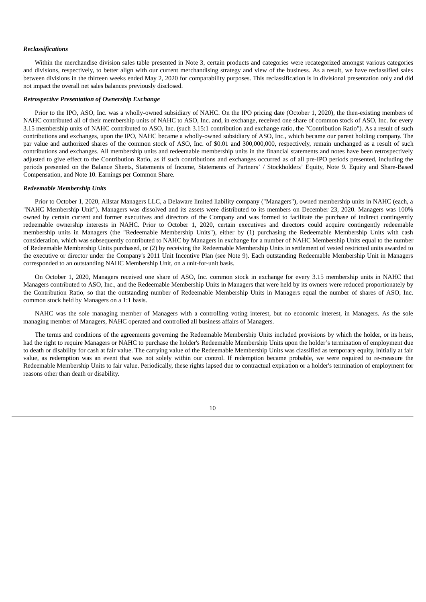#### *Reclassifications*

Within the merchandise division sales table presented in Note 3, certain products and categories were recategorized amongst various categories and divisions, respectively, to better align with our current merchandising strategy and view of the business. As a result, we have reclassified sales between divisions in the thirteen weeks ended May 2, 2020 for comparability purposes. This reclassification is in divisional presentation only and did not impact the overall net sales balances previously disclosed.

# *Retrospective Presentation of Ownership Exchange*

Prior to the IPO, ASO, Inc. was a wholly-owned subsidiary of NAHC. On the IPO pricing date (October 1, 2020), the then-existing members of NAHC contributed all of their membership units of NAHC to ASO, Inc. and, in exchange, received one share of common stock of ASO, Inc. for every 3.15 membership units of NAHC contributed to ASO, Inc. (such 3.15:1 contribution and exchange ratio, the "Contribution Ratio"). As a result of such contributions and exchanges, upon the IPO, NAHC became a wholly-owned subsidiary of ASO, Inc., which became our parent holding company. The par value and authorized shares of the common stock of ASO, Inc. of \$0.01 and 300,000,000, respectively, remain unchanged as a result of such contributions and exchanges. All membership units and redeemable membership units in the financial statements and notes have been retrospectively adjusted to give effect to the Contribution Ratio, as if such contributions and exchanges occurred as of all pre-IPO periods presented, including the periods presented on the Balance Sheets, Statements of Income, Statements of Partners' / Stockholders' Equity, Note 9. Equity and Share-Based Compensation, and Note 10. Earnings per Common Share.

#### *Redeemable Membership Units*

Prior to October 1, 2020, Allstar Managers LLC, a Delaware limited liability company ("Managers"), owned membership units in NAHC (each, a "NAHC Membership Unit"). Managers was dissolved and its assets were distributed to its members on December 23, 2020. Managers was 100% owned by certain current and former executives and directors of the Company and was formed to facilitate the purchase of indirect contingently redeemable ownership interests in NAHC. Prior to October 1, 2020, certain executives and directors could acquire contingently redeemable membership units in Managers (the "Redeemable Membership Units"), either by (1) purchasing the Redeemable Membership Units with cash consideration, which was subsequently contributed to NAHC by Managers in exchange for a number of NAHC Membership Units equal to the number of Redeemable Membership Units purchased, or (2) by receiving the Redeemable Membership Units in settlement of vested restricted units awarded to the executive or director under the Company's 2011 Unit Incentive Plan (see Note 9). Each outstanding Redeemable Membership Unit in Managers corresponded to an outstanding NAHC Membership Unit, on a unit-for-unit basis.

On October 1, 2020, Managers received one share of ASO, Inc. common stock in exchange for every 3.15 membership units in NAHC that Managers contributed to ASO, Inc., and the Redeemable Membership Units in Managers that were held by its owners were reduced proportionately by the Contribution Ratio, so that the outstanding number of Redeemable Membership Units in Managers equal the number of shares of ASO, Inc. common stock held by Managers on a 1:1 basis.

NAHC was the sole managing member of Managers with a controlling voting interest, but no economic interest, in Managers. As the sole managing member of Managers, NAHC operated and controlled all business affairs of Managers.

The terms and conditions of the agreements governing the Redeemable Membership Units included provisions by which the holder, or its heirs, had the right to require Managers or NAHC to purchase the holder's Redeemable Membership Units upon the holder's termination of employment due to death or disability for cash at fair value. The carrying value of the Redeemable Membership Units was classified as temporary equity, initially at fair value, as redemption was an event that was not solely within our control. If redemption became probable, we were required to re-measure the Redeemable Membership Units to fair value. Periodically, these rights lapsed due to contractual expiration or a holder's termination of employment for reasons other than death or disability.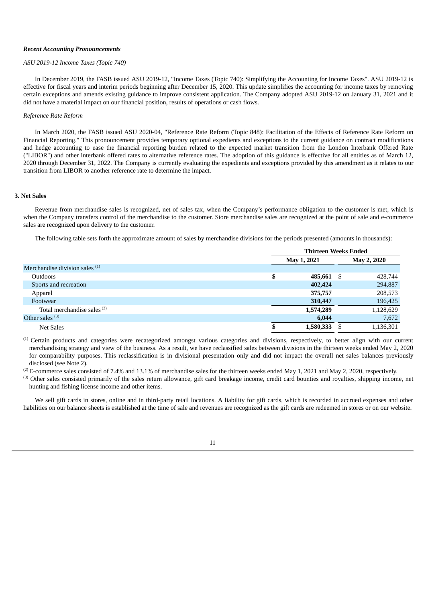#### *Recent Accounting Pronouncements*

# *ASU 2019-12 Income Taxes (Topic 740)*

In December 2019, the FASB issued ASU 2019-12, "Income Taxes (Topic 740): Simplifying the Accounting for Income Taxes". ASU 2019-12 is effective for fiscal years and interim periods beginning after December 15, 2020. This update simplifies the accounting for income taxes by removing certain exceptions and amends existing guidance to improve consistent application. The Company adopted ASU 2019-12 on January 31, 2021 and it did not have a material impact on our financial position, results of operations or cash flows.

#### *Reference Rate Reform*

In March 2020, the FASB issued ASU 2020-04, "Reference Rate Reform (Topic 848): Facilitation of the Effects of Reference Rate Reform on Financial Reporting." This pronouncement provides temporary optional expedients and exceptions to the current guidance on contract modifications and hedge accounting to ease the financial reporting burden related to the expected market transition from the London Interbank Offered Rate ("LIBOR") and other interbank offered rates to alternative reference rates. The adoption of this guidance is effective for all entities as of March 12, 2020 through December 31, 2022. The Company is currently evaluating the expedients and exceptions provided by this amendment as it relates to our transition from LIBOR to another reference rate to determine the impact.

#### **3. Net Sales**

Revenue from merchandise sales is recognized, net of sales tax, when the Company's performance obligation to the customer is met, which is when the Company transfers control of the merchandise to the customer. Store merchandise sales are recognized at the point of sale and e-commerce sales are recognized upon delivery to the customer.

The following table sets forth the approximate amount of sales by merchandise divisions for the periods presented (amounts in thousands):

|                                        |             | <b>Thirteen Weeks Ended</b> |      |             |  |  |  |
|----------------------------------------|-------------|-----------------------------|------|-------------|--|--|--|
|                                        | May 1, 2021 |                             |      | May 2, 2020 |  |  |  |
| Merchandise division sales $(1)$       |             |                             |      |             |  |  |  |
| <b>Outdoors</b>                        | \$          | 485,661                     | - \$ | 428,744     |  |  |  |
| Sports and recreation                  |             | 402,424                     |      | 294,887     |  |  |  |
| Apparel                                |             | 375,757                     |      | 208,573     |  |  |  |
| Footwear                               |             | 310,447                     |      | 196,425     |  |  |  |
| Total merchandise sales <sup>(2)</sup> |             | 1,574,289                   |      | 1,128,629   |  |  |  |
| Other sales $(3)$                      |             | 6,044                       |      | 7,672       |  |  |  |
| <b>Net Sales</b>                       |             | 1,580,333                   |      | 1,136,301   |  |  |  |

 $<sup>(1)</sup>$  Certain products and categories were recategorized amongst various categories and divisions, respectively, to better align with our current</sup> merchandising strategy and view of the business. As a result, we have reclassified sales between divisions in the thirteen weeks ended May 2, 2020 for comparability purposes. This reclassification is in divisional presentation only and did not impact the overall net sales balances previously disclosed (see Note 2).

<sup>(2)</sup> E-commerce sales consisted of 7.4% and 13.1% of merchandise sales for the thirteen weeks ended May 1, 2021 and May 2, 2020, respectively.

<sup>(3)</sup> Other sales consisted primarily of the sales return allowance, gift card breakage income, credit card bounties and royalties, shipping income, net hunting and fishing license income and other items.

We sell gift cards in stores, online and in third-party retail locations. A liability for gift cards, which is recorded in accrued expenses and other liabilities on our balance sheets is established at the time of sale and revenues are recognized as the gift cards are redeemed in stores or on our website.

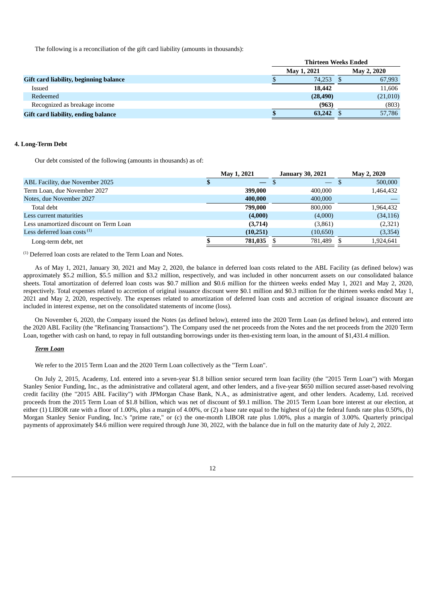The following is a reconciliation of the gift card liability (amounts in thousands):

| <b>Thirteen Weeks Ended</b> |  |             |  |  |
|-----------------------------|--|-------------|--|--|
| May 1, 2021                 |  | May 2, 2020 |  |  |
| 74,253                      |  | 67,993      |  |  |
| 18,442                      |  | 11,606      |  |  |
| (28, 490)                   |  | (21,010)    |  |  |
| (963)                       |  | (803)       |  |  |
|                             |  | 57,786      |  |  |
|                             |  | $63,242$ \$ |  |  |

# **4. Long-Term Debt**

Our debt consisted of the following (amounts in thousands) as of:

|                                        |   | May 1, 2021              | <b>January 30, 2021</b>  | May 2, 2020 |
|----------------------------------------|---|--------------------------|--------------------------|-------------|
| ABL Facility, due November 2025        | æ | $\overline{\phantom{0}}$ | $\overline{\phantom{a}}$ | 500,000     |
| Term Loan, due November 2027           |   | 399,000                  | 400,000                  | 1,464,432   |
| Notes, due November 2027               |   | 400,000                  | 400,000                  |             |
| Total debt                             |   | 799,000                  | 800,000                  | 1,964,432   |
| Less current maturities                |   | (4,000)                  | (4,000)                  | (34, 116)   |
| Less unamortized discount on Term Loan |   | (3,714)                  | (3,861)                  | (2,321)     |
| Less deferred loan costs $(1)$         |   | (10,251)                 | (10, 650)                | (3,354)     |
| Long-term debt, net                    |   | 781,035 \$               | 781,489                  | 1,924,641   |

 $<sup>(1)</sup>$  Deferred loan costs are related to the Term Loan and Notes.</sup>

As of May 1, 2021, January 30, 2021 and May 2, 2020, the balance in deferred loan costs related to the ABL Facility (as defined below) was approximately \$5.2 million, \$5.5 million and \$3.2 million, respectively, and was included in other noncurrent assets on our consolidated balance sheets. Total amortization of deferred loan costs was \$0.7 million and \$0.6 million for the thirteen weeks ended May 1, 2021 and May 2, 2020, respectively. Total expenses related to accretion of original issuance discount were \$0.1 million and \$0.3 million for the thirteen weeks ended May 1, 2021 and May 2, 2020, respectively. The expenses related to amortization of deferred loan costs and accretion of original issuance discount are included in interest expense, net on the consolidated statements of income (loss).

On November 6, 2020, the Company issued the Notes (as defined below), entered into the 2020 Term Loan (as defined below), and entered into the 2020 ABL Facility (the "Refinancing Transactions"). The Company used the net proceeds from the Notes and the net proceeds from the 2020 Term Loan, together with cash on hand, to repay in full outstanding borrowings under its then-existing term loan, in the amount of \$1,431.4 million.

#### *Term Loan*

We refer to the 2015 Term Loan and the 2020 Term Loan collectively as the "Term Loan".

On July 2, 2015, Academy, Ltd. entered into a seven-year \$1.8 billion senior secured term loan facility (the "2015 Term Loan") with Morgan Stanley Senior Funding, Inc., as the administrative and collateral agent, and other lenders, and a five-year \$650 million secured asset-based revolving credit facility (the "2015 ABL Facility") with JPMorgan Chase Bank, N.A., as administrative agent, and other lenders. Academy, Ltd. received proceeds from the 2015 Term Loan of \$1.8 billion, which was net of discount of \$9.1 million. The 2015 Term Loan bore interest at our election, at either (1) LIBOR rate with a floor of 1.00%, plus a margin of 4.00%, or (2) a base rate equal to the highest of (a) the federal funds rate plus 0.50%, (b) Morgan Stanley Senior Funding, Inc.'s "prime rate," or (c) the one-month LIBOR rate plus 1.00%, plus a margin of 3.00%. Quarterly principal payments of approximately \$4.6 million were required through June 30, 2022, with the balance due in full on the maturity date of July 2, 2022.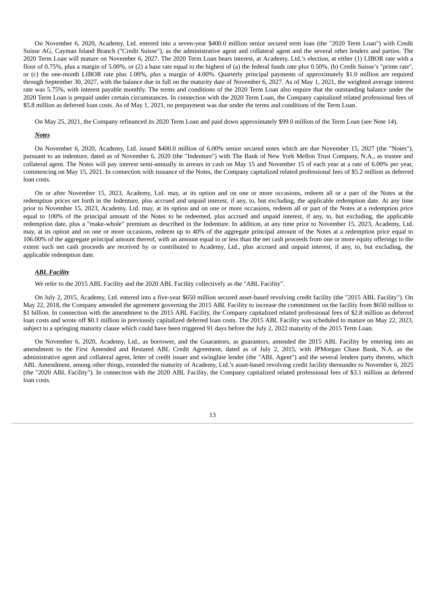On November 6, 2020, Academy, Ltd. entered into a seven-year \$400.0 million senior secured term loan (the "2020 Term Loan") with Credit Suisse AG, Cayman Island Branch ("Credit Suisse"), as the administrative agent and collateral agent and the several other lenders and parties. The 2020 Term Loan will mature on November 6, 2027. The 2020 Term Loan bears interest, at Academy, Ltd.'s election, at either (1) LIBOR rate with a floor of 0.75%, plus a margin of 5.00%, or (2) a base rate equal to the highest of (a) the federal funds rate plus 0.50%, (b) Credit Suisse's "prime rate", or (c) the one-month LIBOR rate plus 1.00%, plus a margin of 4.00%. Quarterly principal payments of approximately \$1.0 million are required through September 30, 2027, with the balance due in full on the maturity date of November 6, 2027. As of May 1, 2021, the weighted average interest rate was 5.75%, with interest payable monthly. The terms and conditions of the 2020 Term Loan also require that the outstanding balance under the 2020 Term Loan is prepaid under certain circumstances. In connection with the 2020 Term Loan, the Company capitalized related professional fees of \$5.8 million as deferred loan costs. As of May 1, 2021, no prepayment was due under the terms and conditions of the Term Loan.

On May 25, 2021, the Company refinanced its 2020 Term Loan and paid down approximately \$99.0 million of the Term Loan (see Note 14).

#### *Notes*

On November 6, 2020, Academy, Ltd. issued \$400.0 million of 6.00% senior secured notes which are due November 15, 2027 (the "Notes"), pursuant to an indenture, dated as of November 6, 2020 (the "Indenture") with The Bank of New York Mellon Trust Company, N.A., as trustee and collateral agent. The Notes will pay interest semi-annually in arrears in cash on May 15 and November 15 of each year at a rate of 6.00% per year, commencing on May 15, 2021. In connection with issuance of the Notes, the Company capitalized related professional fees of \$5.2 million as deferred loan costs.

On or after November 15, 2023, Academy, Ltd. may, at its option and on one or more occasions, redeem all or a part of the Notes at the redemption prices set forth in the Indenture, plus accrued and unpaid interest, if any, to, but excluding, the applicable redemption date. At any time prior to November 15, 2023, Academy, Ltd. may, at its option and on one or more occasions, redeem all or part of the Notes at a redemption price equal to 100% of the principal amount of the Notes to be redeemed, plus accrued and unpaid interest, if any, to, but excluding, the applicable redemption date, plus a "make-whole" premium as described in the Indenture. In addition, at any time prior to November 15, 2023, Academy, Ltd. may, at its option and on one or more occasions, redeem up to 40% of the aggregate principal amount of the Notes at a redemption price equal to 106.00% of the aggregate principal amount thereof, with an amount equal to or less than the net cash proceeds from one or more equity offerings to the extent such net cash proceeds are received by or contributed to Academy, Ltd., plus accrued and unpaid interest, if any, to, but excluding, the applicable redemption date.

#### *ABL Facility*

We refer to the 2015 ABL Facility and the 2020 ABL Facility collectively as the "ABL Facility".

On July 2, 2015, Academy, Ltd. entered into a five-year \$650 million secured asset-based revolving credit facility (the "2015 ABL Facility"). On May 22, 2018, the Company amended the agreement governing the 2015 ABL Facility to increase the commitment on the facility from \$650 million to \$1 billion. In connection with the amendment to the 2015 ABL Facility, the Company capitalized related professional fees of \$2.8 million as deferred loan costs and wrote off \$0.1 million in previously capitalized deferred loan costs. The 2015 ABL Facility was scheduled to mature on May 22, 2023, subject to a springing maturity clause which could have been triggered 91 days before the July 2, 2022 maturity of the 2015 Term Loan.

On November 6, 2020, Academy, Ltd., as borrower, and the Guarantors, as guarantors, amended the 2015 ABL Facility by entering into an amendment to the First Amended and Restated ABL Credit Agreement, dated as of July 2, 2015, with JPMorgan Chase Bank, N.A. as the administrative agent and collateral agent, letter of credit issuer and swingline lender (the "ABL Agent") and the several lenders party thereto, which ABL Amendment, among other things, extended the maturity of Academy, Ltd.'s asset-based revolving credit facility thereunder to November 6, 2025 (the "2020 ABL Facility"). In connection with the 2020 ABL Facility, the Company capitalized related professional fees of \$3.1 million as deferred loan costs.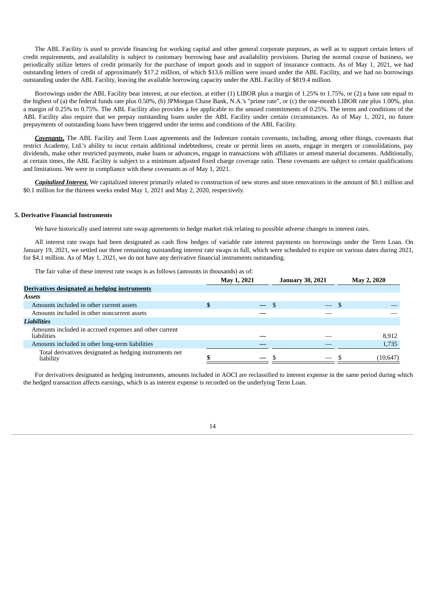The ABL Facility is used to provide financing for working capital and other general corporate purposes, as well as to support certain letters of credit requirements, and availability is subject to customary borrowing base and availability provisions. During the normal course of business, we periodically utilize letters of credit primarily for the purchase of import goods and in support of insurance contracts. As of May 1, 2021, we had outstanding letters of credit of approximately \$17.2 million, of which \$13.6 million were issued under the ABL Facility, and we had no borrowings outstanding under the ABL Facility, leaving the available borrowing capacity under the ABL Facility of \$819.4 million.

Borrowings under the ABL Facility bear interest, at our election, at either (1) LIBOR plus a margin of 1.25% to 1.75%, or (2) a base rate equal to the highest of (a) the federal funds rate plus 0.50%, (b) JPMorgan Chase Bank, N.A.'s "prime rate", or (c) the one-month LIBOR rate plus 1.00%, plus a margin of 0.25% to 0.75%. The ABL Facility also provides a fee applicable to the unused commitments of 0.25%. The terms and conditions of the ABL Facility also require that we prepay outstanding loans under the ABL Facility under certain circumstances. As of May 1, 2021, no future prepayments of outstanding loans have been triggered under the terms and conditions of the ABL Facility.

*Covenants***.** The ABL Facility and Term Loan agreements and the Indenture contain covenants, including, among other things, covenants that restrict Academy, Ltd.'s ability to incur certain additional indebtedness, create or permit liens on assets, engage in mergers or consolidations, pay dividends, make other restricted payments, make loans or advances, engage in transactions with affiliates or amend material documents. Additionally, at certain times, the ABL Facility is subject to a minimum adjusted fixed charge coverage ratio. These covenants are subject to certain qualifications and limitations. We were in compliance with these covenants as of May 1, 2021.

*Capitalized Interest.* We capitalized interest primarily related to construction of new stores and store renovations in the amount of \$0.1 million and \$0.1 million for the thirteen weeks ended May 1, 2021 and May 2, 2020, respectively.

#### **5. Derivative Financial Instruments**

We have historically used interest rate swap agreements to hedge market risk relating to possible adverse changes in interest rates.

All interest rate swaps had been designated as cash flow hedges of variable rate interest payments on borrowings under the Term Loan. On January 19, 2021, we settled our three remaining outstanding interest rate swaps in full, which were scheduled to expire on various dates during 2021, for \$4.1 million. As of May 1, 2021, we do not have any derivative financial instruments outstanding.

The fair value of these interest rate swaps is as follows (amounts in thousands) as of:

|                                                                              | May 1, 2021 |  | <b>January 30, 2021</b>  | May 2, 2020 |
|------------------------------------------------------------------------------|-------------|--|--------------------------|-------------|
| Derivatives designated as hedging instruments                                |             |  |                          |             |
| <b>Assets</b>                                                                |             |  |                          |             |
| Amounts included in other current assets                                     |             |  | $\overline{\phantom{0}}$ |             |
| Amounts included in other noncurrent assets                                  |             |  |                          |             |
| <b>Liabilities</b>                                                           |             |  |                          |             |
| Amounts included in accrued expenses and other current<br><i>liabilities</i> |             |  |                          | 8.912       |
| Amounts included in other long-term liabilities                              |             |  |                          | 1,735       |
| Total derivatives designated as hedging instruments net<br>liability         |             |  |                          | (10, 647)   |

For derivatives designated as hedging instruments, amounts included in AOCI are reclassified to interest expense in the same period during which the hedged transaction affects earnings, which is as interest expense is recorded on the underlying Term Loan.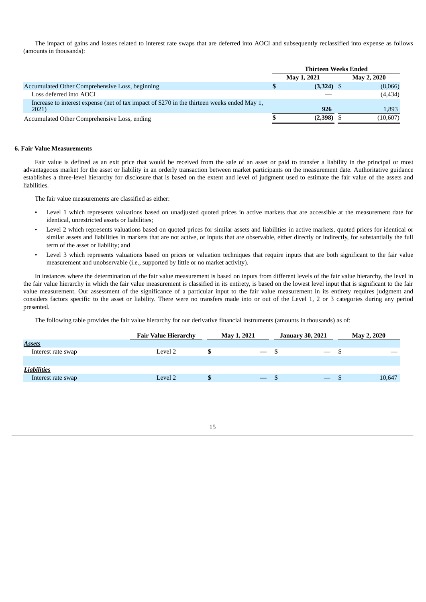The impact of gains and losses related to interest rate swaps that are deferred into AOCI and subsequently reclassified into expense as follows (amounts in thousands):

|                                                                                                      | <b>Thirteen Weeks Ended</b> |              |             |          |  |
|------------------------------------------------------------------------------------------------------|-----------------------------|--------------|-------------|----------|--|
|                                                                                                      |                             | May 1, 2021  | May 2, 2020 |          |  |
| Accumulated Other Comprehensive Loss, beginning                                                      |                             | $(3,324)$ \$ |             | (8,066)  |  |
| Loss deferred into AOCI                                                                              |                             |              |             | (4, 434) |  |
| Increase to interest expense (net of tax impact of \$270 in the thirteen weeks ended May 1,<br>2021) |                             | 926          |             | 1,893    |  |
| Accumulated Other Comprehensive Loss, ending                                                         |                             | $(2,398)$ \$ |             | (10,607) |  |

#### **6. Fair Value Measurements**

Fair value is defined as an exit price that would be received from the sale of an asset or paid to transfer a liability in the principal or most advantageous market for the asset or liability in an orderly transaction between market participants on the measurement date. Authoritative guidance establishes a three-level hierarchy for disclosure that is based on the extent and level of judgment used to estimate the fair value of the assets and liabilities.

The fair value measurements are classified as either:

- Level 1 which represents valuations based on unadjusted quoted prices in active markets that are accessible at the measurement date for identical, unrestricted assets or liabilities;
- Level 2 which represents valuations based on quoted prices for similar assets and liabilities in active markets, quoted prices for identical or similar assets and liabilities in markets that are not active, or inputs that are observable, either directly or indirectly, for substantially the full term of the asset or liability; and
- Level 3 which represents valuations based on prices or valuation techniques that require inputs that are both significant to the fair value measurement and unobservable (i.e., supported by little or no market activity).

In instances where the determination of the fair value measurement is based on inputs from different levels of the fair value hierarchy, the level in the fair value hierarchy in which the fair value measurement is classified in its entirety, is based on the lowest level input that is significant to the fair value measurement. Our assessment of the significance of a particular input to the fair value measurement in its entirety requires judgment and considers factors specific to the asset or liability. There were no transfers made into or out of the Level 1, 2 or 3 categories during any period presented.

The following table provides the fair value hierarchy for our derivative financial instruments (amounts in thousands) as of:

|                    | <b>Fair Value Hierarchy</b> | May 1, 2021 |          | <b>January 30, 2021</b>  | May 2, 2020 |        |  |
|--------------------|-----------------------------|-------------|----------|--------------------------|-------------|--------|--|
| <b>Assets</b>      |                             |             |          |                          |             |        |  |
| Interest rate swap | Level 2                     | $-$ \$      |          | $\overline{\phantom{0}}$ |             | __     |  |
|                    |                             |             |          |                          |             |        |  |
| Liabilities        |                             |             |          |                          |             |        |  |
| Interest rate swap | Level 2                     | --          | $\sim$ S |                          |             | 10,647 |  |
|                    |                             |             |          |                          |             |        |  |

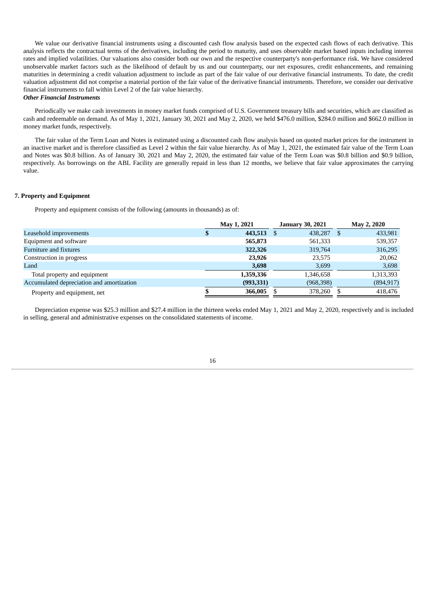We value our derivative financial instruments using a discounted cash flow analysis based on the expected cash flows of each derivative. This analysis reflects the contractual terms of the derivatives, including the period to maturity, and uses observable market based inputs including interest rates and implied volatilities. Our valuations also consider both our own and the respective counterparty's non-performance risk. We have considered unobservable market factors such as the likelihood of default by us and our counterparty, our net exposures, credit enhancements, and remaining maturities in determining a credit valuation adjustment to include as part of the fair value of our derivative financial instruments. To date, the credit valuation adjustment did not comprise a material portion of the fair value of the derivative financial instruments. Therefore, we consider our derivative financial instruments to fall within Level 2 of the fair value hierarchy.

#### *Other Financial Instruments*

Periodically we make cash investments in money market funds comprised of U.S. Government treasury bills and securities, which are classified as cash and redeemable on demand. As of May 1, 2021, January 30, 2021 and May 2, 2020, we held \$476.0 million, \$284.0 million and \$662.0 million in money market funds, respectively.

The fair value of the Term Loan and Notes is estimated using a discounted cash flow analysis based on quoted market prices for the instrument in an inactive market and is therefore classified as Level 2 within the fair value hierarchy. As of May 1, 2021, the estimated fair value of the Term Loan and Notes was \$0.8 billion. As of January 30, 2021 and May 2, 2020, the estimated fair value of the Term Loan was \$0.8 billion and \$0.9 billion, respectively. As borrowings on the ABL Facility are generally repaid in less than 12 months, we believe that fair value approximates the carrying value.

#### **7. Property and Equipment**

Property and equipment consists of the following (amounts in thousands) as of:

|                                           | May 1, 2021 | <b>January 30, 2021</b> | May 2, 2020 |
|-------------------------------------------|-------------|-------------------------|-------------|
| Leasehold improvements                    | 443,513 \$  | 438,287                 | 433,981     |
| Equipment and software                    | 565,873     | 561,333                 | 539,357     |
| Furniture and fixtures                    | 322,326     | 319,764                 | 316,295     |
| Construction in progress                  | 23,926      | 23,575                  | 20,062      |
| Land                                      | 3,698       | 3,699                   | 3,698       |
| Total property and equipment              | 1,359,336   | 1,346,658               | 1,313,393   |
| Accumulated depreciation and amortization | (993, 331)  | (968, 398)              | (894, 917)  |
| Property and equipment, net               | 366,005     | 378,260                 | 418,476     |

Depreciation expense was \$25.3 million and \$27.4 million in the thirteen weeks ended May 1, 2021 and May 2, 2020, respectively and is included in selling, general and administrative expenses on the consolidated statements of income.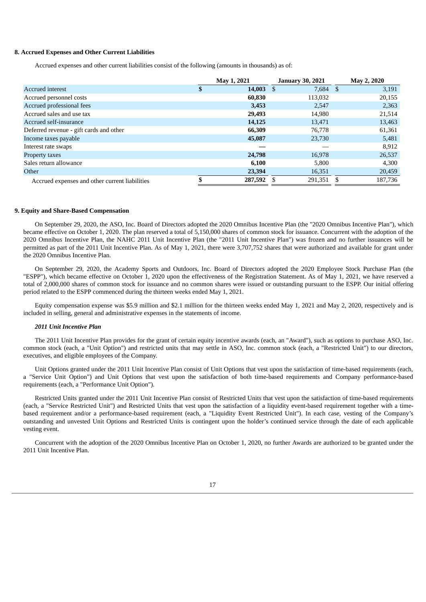# **8. Accrued Expenses and Other Current Liabilities**

Accrued expenses and other current liabilities consist of the following (amounts in thousands) as of:

|                                                |   | May 1, 2021 | <b>January 30, 2021</b> | May 2, 2020 |
|------------------------------------------------|---|-------------|-------------------------|-------------|
| Accrued interest                               | æ | $14.003$ \$ | 7,684 \$                | 3,191       |
| Accrued personnel costs                        |   | 60,830      | 113,032                 | 20,155      |
| Accrued professional fees                      |   | 3,453       | 2,547                   | 2,363       |
| Accrued sales and use tax                      |   | 29,493      | 14,980                  | 21,514      |
| Accrued self-insurance                         |   | 14,125      | 13,471                  | 13,463      |
| Deferred revenue - gift cards and other        |   | 66,309      | 76.778                  | 61,361      |
| Income taxes payable                           |   | 45,087      | 23,730                  | 5,481       |
| Interest rate swaps                            |   |             |                         | 8,912       |
| Property taxes                                 |   | 24,798      | 16,978                  | 26,537      |
| Sales return allowance                         |   | 6,100       | 5,800                   | 4,300       |
| Other                                          |   | 23,394      | 16,351                  | 20,459      |
| Accrued expenses and other current liabilities |   | 287,592     | 291,351                 | 187,736     |

#### **9. Equity and Share-Based Compensation**

On September 29, 2020, the ASO, Inc. Board of Directors adopted the 2020 Omnibus Incentive Plan (the "2020 Omnibus Incentive Plan"), which became effective on October 1, 2020. The plan reserved a total of 5,150,000 shares of common stock for issuance. Concurrent with the adoption of the 2020 Omnibus Incentive Plan, the NAHC 2011 Unit Incentive Plan (the "2011 Unit Incentive Plan") was frozen and no further issuances will be permitted as part of the 2011 Unit Incentive Plan. As of May 1, 2021, there were 3,707,752 shares that were authorized and available for grant under the 2020 Omnibus Incentive Plan.

On September 29, 2020, the Academy Sports and Outdoors, Inc. Board of Directors adopted the 2020 Employee Stock Purchase Plan (the "ESPP"), which became effective on October 1, 2020 upon the effectiveness of the Registration Statement. As of May 1, 2021, we have reserved a total of 2,000,000 shares of common stock for issuance and no common shares were issued or outstanding pursuant to the ESPP. Our initial offering period related to the ESPP commenced during the thirteen weeks ended May 1, 2021.

Equity compensation expense was \$5.9 million and \$2.1 million for the thirteen weeks ended May 1, 2021 and May 2, 2020, respectively and is included in selling, general and administrative expenses in the statements of income.

#### *2011 Unit Incentive Plan*

The 2011 Unit Incentive Plan provides for the grant of certain equity incentive awards (each, an "Award"), such as options to purchase ASO, Inc. common stock (each, a "Unit Option") and restricted units that may settle in ASO, Inc. common stock (each, a "Restricted Unit") to our directors, executives, and eligible employees of the Company.

Unit Options granted under the 2011 Unit Incentive Plan consist of Unit Options that vest upon the satisfaction of time-based requirements (each, a "Service Unit Option") and Unit Options that vest upon the satisfaction of both time-based requirements and Company performance-based requirements (each, a "Performance Unit Option").

Restricted Units granted under the 2011 Unit Incentive Plan consist of Restricted Units that vest upon the satisfaction of time-based requirements (each, a "Service Restricted Unit") and Restricted Units that vest upon the satisfaction of a liquidity event-based requirement together with a timebased requirement and/or a performance-based requirement (each, a "Liquidity Event Restricted Unit"). In each case, vesting of the Company's outstanding and unvested Unit Options and Restricted Units is contingent upon the holder's continued service through the date of each applicable vesting event.

Concurrent with the adoption of the 2020 Omnibus Incentive Plan on October 1, 2020, no further Awards are authorized to be granted under the 2011 Unit Incentive Plan.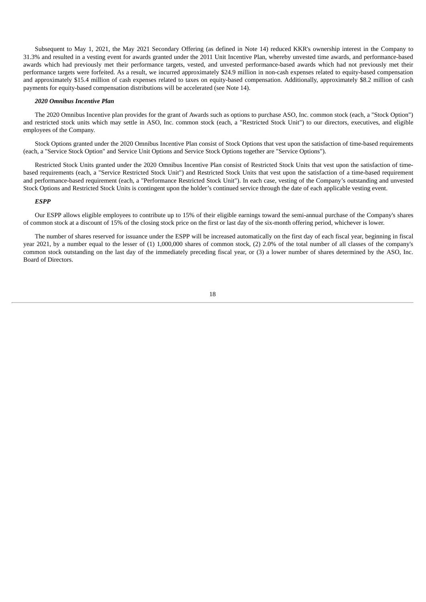Subsequent to May 1, 2021, the May 2021 Secondary Offering (as defined in Note 14) reduced KKR's ownership interest in the Company to 31.3% and resulted in a vesting event for awards granted under the 2011 Unit Incentive Plan, whereby unvested time awards, and performance-based awards which had previously met their performance targets, vested, and unvested performance-based awards which had not previously met their performance targets were forfeited. As a result, we incurred approximately \$24.9 million in non-cash expenses related to equity-based compensation and approximately \$15.4 million of cash expenses related to taxes on equity-based compensation. Additionally, approximately \$8.2 million of cash payments for equity-based compensation distributions will be accelerated (see Note 14).

#### *2020 Omnibus Incentive Plan*

The 2020 Omnibus Incentive plan provides for the grant of Awards such as options to purchase ASO, Inc. common stock (each, a "Stock Option") and restricted stock units which may settle in ASO, Inc. common stock (each, a "Restricted Stock Unit") to our directors, executives, and eligible employees of the Company.

Stock Options granted under the 2020 Omnibus Incentive Plan consist of Stock Options that vest upon the satisfaction of time-based requirements (each, a "Service Stock Option" and Service Unit Options and Service Stock Options together are "Service Options").

Restricted Stock Units granted under the 2020 Omnibus Incentive Plan consist of Restricted Stock Units that vest upon the satisfaction of timebased requirements (each, a "Service Restricted Stock Unit") and Restricted Stock Units that vest upon the satisfaction of a time-based requirement and performance-based requirement (each, a "Performance Restricted Stock Unit"). In each case, vesting of the Company's outstanding and unvested Stock Options and Restricted Stock Units is contingent upon the holder's continued service through the date of each applicable vesting event.

# *ESPP*

Our ESPP allows eligible employees to contribute up to 15% of their eligible earnings toward the semi-annual purchase of the Company's shares of common stock at a discount of 15% of the closing stock price on the first or last day of the six-month offering period, whichever is lower.

The number of shares reserved for issuance under the ESPP will be increased automatically on the first day of each fiscal year, beginning in fiscal year 2021, by a number equal to the lesser of (1) 1,000,000 shares of common stock, (2) 2.0% of the total number of all classes of the company's common stock outstanding on the last day of the immediately preceding fiscal year, or (3) a lower number of shares determined by the ASO, Inc. Board of Directors.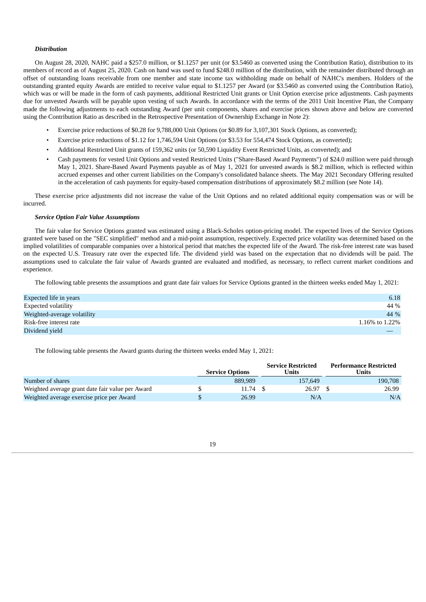#### *Distribution*

On August 28, 2020, NAHC paid a \$257.0 million, or \$1.1257 per unit (or \$3.5460 as converted using the Contribution Ratio), distribution to its members of record as of August 25, 2020. Cash on hand was used to fund \$248.0 million of the distribution, with the remainder distributed through an offset of outstanding loans receivable from one member and state income tax withholding made on behalf of NAHC's members. Holders of the outstanding granted equity Awards are entitled to receive value equal to \$1.1257 per Award (or \$3.5460 as converted using the Contribution Ratio), which was or will be made in the form of cash payments, additional Restricted Unit grants or Unit Option exercise price adjustments. Cash payments due for unvested Awards will be payable upon vesting of such Awards. In accordance with the terms of the 2011 Unit Incentive Plan, the Company made the following adjustments to each outstanding Award (per unit components, shares and exercise prices shown above and below are converted using the Contribution Ratio as described in the Retrospective Presentation of Ownership Exchange in Note 2):

- Exercise price reductions of \$0.28 for 9,788,000 Unit Options (or \$0.89 for 3,107,301 Stock Options, as converted);
- Exercise price reductions of \$1.12 for 1,746,594 Unit Options (or \$3.53 for 554,474 Stock Options, as converted);
- Additional Restricted Unit grants of 159,362 units (or 50,590 Liquidity Event Restricted Units, as converted); and
- Cash payments for vested Unit Options and vested Restricted Units ("Share-Based Award Payments") of \$24.0 million were paid through May 1, 2021. Share-Based Award Payments payable as of May 1, 2021 for unvested awards is \$8.2 million, which is reflected within accrued expenses and other current liabilities on the Company's consolidated balance sheets. The May 2021 Secondary Offering resulted in the acceleration of cash payments for equity-based compensation distributions of approximately \$8.2 million (see Note 14).

These exercise price adjustments did not increase the value of the Unit Options and no related additional equity compensation was or will be incurred.

### *Service Option Fair Value Assumptions*

The fair value for Service Options granted was estimated using a Black-Scholes option-pricing model. The expected lives of the Service Options granted were based on the "SEC simplified" method and a mid-point assumption, respectively. Expected price volatility was determined based on the implied volatilities of comparable companies over a historical period that matches the expected life of the Award. The risk-free interest rate was based on the expected U.S. Treasury rate over the expected life. The dividend yield was based on the expectation that no dividends will be paid. The assumptions used to calculate the fair value of Awards granted are evaluated and modified, as necessary, to reflect current market conditions and experience.

The following table presents the assumptions and grant date fair values for Service Options granted in the thirteen weeks ended May 1, 2021:

| Expected life in years      | 6.18           |
|-----------------------------|----------------|
| Expected volatility         | 44 %           |
| Weighted-average volatility | 44 %           |
| Risk-free interest rate     | 1.16% to 1.22% |
| Dividend yield              |                |

The following table presents the Award grants during the thirteen weeks ended May 1, 2021:

|                                                  | <b>Service Options</b> | <b>Service Restricted</b><br>Units | <b>Performance Restricted</b><br>Units |
|--------------------------------------------------|------------------------|------------------------------------|----------------------------------------|
| Number of shares                                 | 889.989                | 157.649                            | 190,708                                |
| Weighted average grant date fair value per Award | 11.74                  | 26.97                              | 26.99                                  |
| Weighted average exercise price per Award        | 26.99                  | N/A                                | N/A                                    |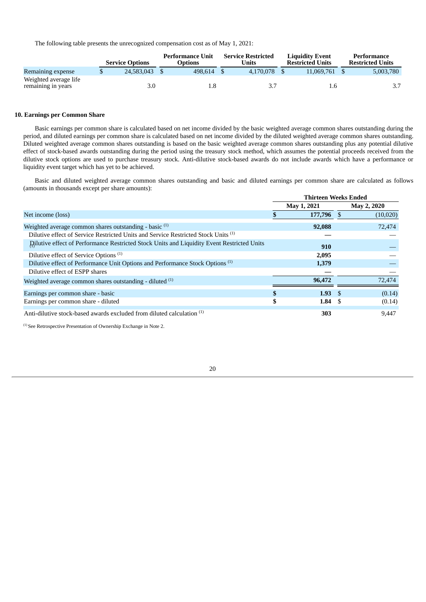The following table presents the unrecognized compensation cost as of May 1, 2021:

|                                             | <b>Service Options</b> |  | <b>Performance Unit</b><br>Options |  | <b>Service Restricted</b><br>Units |  | <b>Liquidity Event</b><br><b>Restricted Units</b> | Performance<br><b>Restricted Units</b> |  |
|---------------------------------------------|------------------------|--|------------------------------------|--|------------------------------------|--|---------------------------------------------------|----------------------------------------|--|
| Remaining expense                           | 24,583,043             |  | 498,614                            |  | 4.170.078                          |  | 11,069,761                                        | 5,003,780                              |  |
| Weighted average life<br>remaining in years | 3.0                    |  |                                    |  |                                    |  | 7.6                                               |                                        |  |

# **10. Earnings per Common Share**

Basic earnings per common share is calculated based on net income divided by the basic weighted average common shares outstanding during the period, and diluted earnings per common share is calculated based on net income divided by the diluted weighted average common shares outstanding. Diluted weighted average common shares outstanding is based on the basic weighted average common shares outstanding plus any potential dilutive effect of stock-based awards outstanding during the period using the treasury stock method, which assumes the potential proceeds received from the dilutive stock options are used to purchase treasury stock. Anti-dilutive stock-based awards do not include awards which have a performance or liquidity event target which has yet to be achieved.

Basic and diluted weighted average common shares outstanding and basic and diluted earnings per common share are calculated as follows (amounts in thousands except per share amounts):

|                                                                                               | <b>Thirteen Weeks Ended</b> |                 |              |             |
|-----------------------------------------------------------------------------------------------|-----------------------------|-----------------|--------------|-------------|
|                                                                                               |                             | May 1, 2021     |              | May 2, 2020 |
| Net income (loss)                                                                             |                             | 177,796         |              | (10,020)    |
| Weighted average common shares outstanding - basic <sup>(1)</sup>                             |                             | 92,088          |              | 72,474      |
| Dilutive effect of Service Restricted Units and Service Restricted Stock Units <sup>(1)</sup> |                             |                 |              |             |
| Dilutive effect of Performance Restricted Stock Units and Liquidity Event Restricted Units    |                             | 910             |              |             |
| Dilutive effect of Service Options <sup>(1)</sup>                                             |                             | 2,095           |              |             |
| Dilutive effect of Performance Unit Options and Performance Stock Options <sup>(1)</sup>      |                             | 1,379           |              |             |
| Dilutive effect of ESPP shares                                                                |                             |                 |              |             |
| Weighted average common shares outstanding - diluted $(1)$                                    |                             | 96,472          |              | 72,474      |
| Earnings per common share - basic                                                             |                             | $1.93 \quad$ \$ |              | (0.14)      |
| Earnings per common share - diluted                                                           |                             | 1.84            | $\mathbb{S}$ | (0.14)      |
| Anti-dilutive stock-based awards excluded from diluted calculation <sup>(1)</sup>             |                             | 303             |              | 9,447       |

 $<sup>(1)</sup>$  See Retrospective Presentation of Ownership Exchange in Note 2.</sup>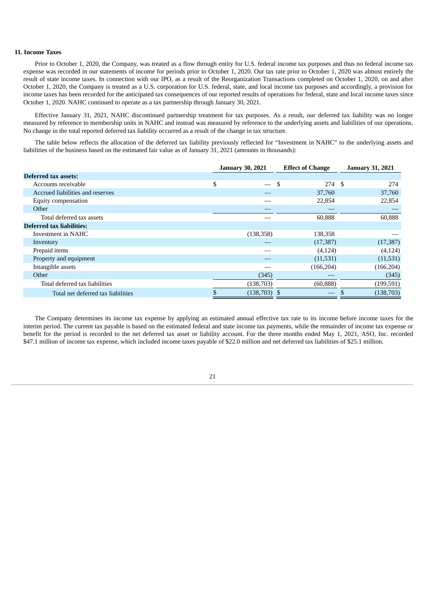# **11. Income Taxes**

Prior to October 1, 2020, the Company, was treated as a flow through entity for U.S. federal income tax purposes and thus no federal income tax expense was recorded in our statements of income for periods prior to October 1, 2020. Our tax rate prior to October 1, 2020 was almost entirely the result of state income taxes. In connection with our IPO, as a result of the Reorganization Transactions completed on October 1, 2020, on and after October 1, 2020, the Company is treated as a U.S. corporation for U.S. federal, state, and local income tax purposes and accordingly, a provision for income taxes has been recorded for the anticipated tax consequences of our reported results of operations for federal, state and local income taxes since October 1, 2020. NAHC continued to operate as a tax partnership through January 30, 2021.

Effective January 31, 2021, NAHC discontinued partnership treatment for tax purposes. As a result, our deferred tax liability was no longer measured by reference to membership units in NAHC and instead was measured by reference to the underlying assets and liabilities of our operations. No change in the total reported deferred tax liability occurred as a result of the change in tax structure.

The table below reflects the allocation of the deferred tax liability previously reflected for "Investment in NAHC" to the underlying assets and liabilities of the business based on the estimated fair value as of January 31, 2021 (amounts in thousands):

|                                    | <b>January 30, 2021</b>        | <b>January 31, 2021</b> |            |  |
|------------------------------------|--------------------------------|-------------------------|------------|--|
| <b>Deferred tax assets:</b>        |                                |                         |            |  |
| Accounts receivable                | \$<br>$\overline{\phantom{0}}$ | 274S<br>-\$             | 274        |  |
| Accrued liabilities and reserves   |                                | 37,760                  | 37,760     |  |
| Equity compensation                |                                | 22,854                  | 22,854     |  |
| Other                              |                                |                         |            |  |
| Total deferred tax assets          |                                | 60,888                  | 60,888     |  |
| <b>Deferred tax liabilities:</b>   |                                |                         |            |  |
| Investment in NAHC                 | (138, 358)                     | 138,358                 |            |  |
| Inventory                          |                                | (17, 387)               | (17, 387)  |  |
| Prepaid items                      |                                | (4, 124)                | (4, 124)   |  |
| Property and equipment             |                                | (11,531)                | (11, 531)  |  |
| Intangible assets                  |                                | (166, 204)              | (166, 204) |  |
| Other                              | (345)                          |                         | (345)      |  |
| Total deferred tax liabilities     | (138,703)                      | (60, 888)               | (199, 591) |  |
| Total net deferred tax liabilities | $(138,703)$ \$                 |                         | (138, 703) |  |

The Company determines its income tax expense by applying an estimated annual effective tax rate to its income before income taxes for the interim period. The current tax payable is based on the estimated federal and state income tax payments, while the remainder of income tax expense or benefit for the period is recorded to the net deferred tax asset or liability account. For the three months ended May 1, 2021, ASO, Inc. recorded \$47.1 million of income tax expense, which included income taxes payable of \$22.0 million and net deferred tax liabilities of \$25.1 million.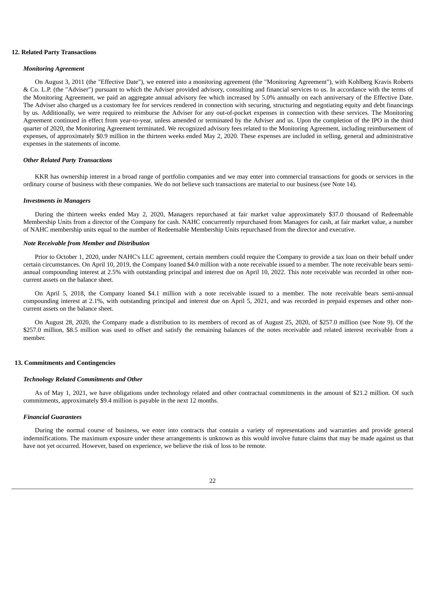# **12. Related Party Transactions**

#### *Monitoring Agreement*

On August 3, 2011 (the "Effective Date"), we entered into a monitoring agreement (the "Monitoring Agreement"), with Kohlberg Kravis Roberts & Co. L.P. (the "Adviser") pursuant to which the Adviser provided advisory, consulting and financial services to us. In accordance with the terms of the Monitoring Agreement, we paid an aggregate annual advisory fee which increased by 5.0% annually on each anniversary of the Effective Date. The Adviser also charged us a customary fee for services rendered in connection with securing, structuring and negotiating equity and debt financings by us. Additionally, we were required to reimburse the Adviser for any out-of-pocket expenses in connection with these services. The Monitoring Agreement continued in effect from year-to-year, unless amended or terminated by the Adviser and us. Upon the completion of the IPO in the third quarter of 2020, the Monitoring Agreement terminated. We recognized advisory fees related to the Monitoring Agreement, including reimbursement of expenses, of approximately \$0.9 million in the thirteen weeks ended May 2, 2020. These expenses are included in selling, general and administrative expenses in the statements of income.

#### *Other Related Party Transactions*

KKR has ownership interest in a broad range of portfolio companies and we may enter into commercial transactions for goods or services in the ordinary course of business with these companies. We do not believe such transactions are material to our business (see Note 14).

#### *Investments in Managers*

During the thirteen weeks ended May 2, 2020, Managers repurchased at fair market value approximately \$37.0 thousand of Redeemable Membership Units from a director of the Company for cash. NAHC concurrently repurchased from Managers for cash, at fair market value, a number of NAHC membership units equal to the number of Redeemable Membership Units repurchased from the director and executive.

#### *Note Receivable from Member and Distribution*

Prior to October 1, 2020, under NAHC's LLC agreement, certain members could require the Company to provide a tax loan on their behalf under certain circumstances. On April 10, 2019, the Company loaned \$4.0 million with a note receivable issued to a member. The note receivable bears semiannual compounding interest at 2.5% with outstanding principal and interest due on April 10, 2022. This note receivable was recorded in other noncurrent assets on the balance sheet.

On April 5, 2018, the Company loaned \$4.1 million with a note receivable issued to a member. The note receivable bears semi-annual compounding interest at 2.1%, with outstanding principal and interest due on April 5, 2021, and was recorded in prepaid expenses and other noncurrent assets on the balance sheet.

On August 28, 2020, the Company made a distribution to its members of record as of August 25, 2020, of \$257.0 million (see Note 9). Of the \$257.0 million, \$8.5 million was used to offset and satisfy the remaining balances of the notes receivable and related interest receivable from a member.

#### **13. Commitments and Contingencies**

#### *Technology Related Commitments and Other*

As of May 1, 2021, we have obligations under technology related and other contractual commitments in the amount of \$21.2 million. Of such commitments, approximately \$9.4 million is payable in the next 12 months.

## *Financial Guarantees*

During the normal course of business, we enter into contracts that contain a variety of representations and warranties and provide general indemnifications. The maximum exposure under these arrangements is unknown as this would involve future claims that may be made against us that have not yet occurred. However, based on experience, we believe the risk of loss to be remote.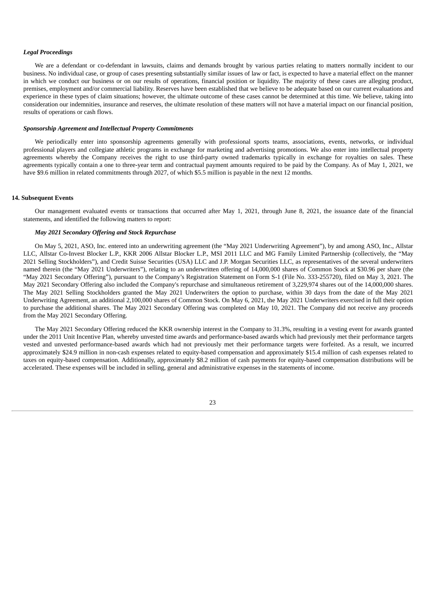# *Legal Proceedings*

We are a defendant or co-defendant in lawsuits, claims and demands brought by various parties relating to matters normally incident to our business. No individual case, or group of cases presenting substantially similar issues of law or fact, is expected to have a material effect on the manner in which we conduct our business or on our results of operations, financial position or liquidity. The majority of these cases are alleging product, premises, employment and/or commercial liability. Reserves have been established that we believe to be adequate based on our current evaluations and experience in these types of claim situations; however, the ultimate outcome of these cases cannot be determined at this time. We believe, taking into consideration our indemnities, insurance and reserves, the ultimate resolution of these matters will not have a material impact on our financial position, results of operations or cash flows.

## *Sponsorship Agreement and Intellectual Property Commitments*

We periodically enter into sponsorship agreements generally with professional sports teams, associations, events, networks, or individual professional players and collegiate athletic programs in exchange for marketing and advertising promotions. We also enter into intellectual property agreements whereby the Company receives the right to use third-party owned trademarks typically in exchange for royalties on sales. These agreements typically contain a one to three-year term and contractual payment amounts required to be paid by the Company. As of May 1, 2021, we have \$9.6 million in related commitments through 2027, of which \$5.5 million is payable in the next 12 months.

#### **14. Subsequent Events**

Our management evaluated events or transactions that occurred after May 1, 2021, through June 8, 2021, the issuance date of the financial statements, and identified the following matters to report:

## *May 2021 Secondary Offering and Stock Repurchase*

On May 5, 2021, ASO, Inc. entered into an underwriting agreement (the "May 2021 Underwriting Agreement"), by and among ASO, Inc., Allstar LLC, Allstar Co-Invest Blocker L.P., KKR 2006 Allstar Blocker L.P., MSI 2011 LLC and MG Family Limited Partnership (collectively, the "May 2021 Selling Stockholders"), and Credit Suisse Securities (USA) LLC and J.P. Morgan Securities LLC, as representatives of the several underwriters named therein (the "May 2021 Underwriters"), relating to an underwritten offering of 14,000,000 shares of Common Stock at \$30.96 per share (the "May 2021 Secondary Offering"), pursuant to the Company's Registration Statement on Form S-1 (File No. 333-255720), filed on May 3, 2021. The May 2021 Secondary Offering also included the Company's repurchase and simultaneous retirement of 3,229,974 shares out of the 14,000,000 shares. The May 2021 Selling Stockholders granted the May 2021 Underwriters the option to purchase, within 30 days from the date of the May 2021 Underwriting Agreement, an additional 2,100,000 shares of Common Stock. On May 6, 2021, the May 2021 Underwriters exercised in full their option to purchase the additional shares. The May 2021 Secondary Offering was completed on May 10, 2021. The Company did not receive any proceeds from the May 2021 Secondary Offering.

The May 2021 Secondary Offering reduced the KKR ownership interest in the Company to 31.3%, resulting in a vesting event for awards granted under the 2011 Unit Incentive Plan, whereby unvested time awards and performance-based awards which had previously met their performance targets vested and unvested performance-based awards which had not previously met their performance targets were forfeited. As a result, we incurred approximately \$24.9 million in non-cash expenses related to equity-based compensation and approximately \$15.4 million of cash expenses related to taxes on equity-based compensation. Additionally, approximately \$8.2 million of cash payments for equity-based compensation distributions will be accelerated. These expenses will be included in selling, general and administrative expenses in the statements of income.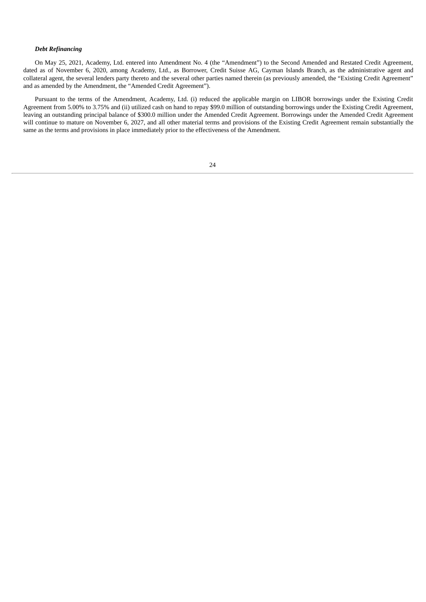#### *Debt Refinancing*

On May 25, 2021, Academy, Ltd. entered into Amendment No. 4 (the "Amendment") to the Second Amended and Restated Credit Agreement, dated as of November 6, 2020, among Academy, Ltd., as Borrower, Credit Suisse AG, Cayman Islands Branch, as the administrative agent and collateral agent, the several lenders party thereto and the several other parties named therein (as previously amended, the "Existing Credit Agreement" and as amended by the Amendment, the "Amended Credit Agreement").

<span id="page-23-0"></span>Pursuant to the terms of the Amendment, Academy, Ltd. (i) reduced the applicable margin on LIBOR borrowings under the Existing Credit Agreement from 5.00% to 3.75% and (ii) utilized cash on hand to repay \$99.0 million of outstanding borrowings under the Existing Credit Agreement, leaving an outstanding principal balance of \$300.0 million under the Amended Credit Agreement. Borrowings under the Amended Credit Agreement will continue to mature on November 6, 2027, and all other material terms and provisions of the Existing Credit Agreement remain substantially the same as the terms and provisions in place immediately prior to the effectiveness of the Amendment.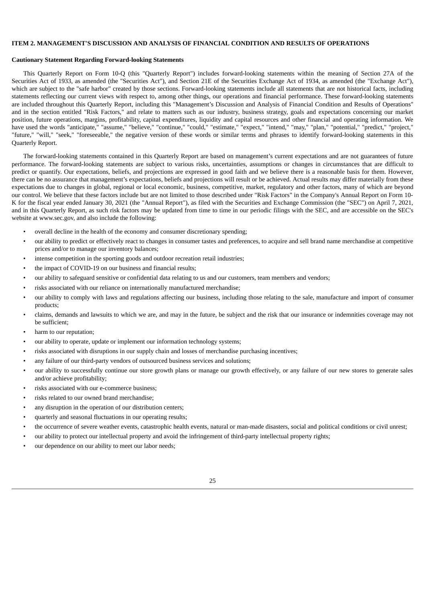## **ITEM 2. MANAGEMENT'S DISCUSSION AND ANALYSIS OF FINANCIAL CONDITION AND RESULTS OF OPERATIONS**

#### **Cautionary Statement Regarding Forward-looking Statements**

This Quarterly Report on Form 10-Q (this "Quarterly Report") includes forward-looking statements within the meaning of Section 27A of the Securities Act of 1933, as amended (the "Securities Act"), and Section 21E of the Securities Exchange Act of 1934, as amended (the "Exchange Act"), which are subject to the "safe harbor" created by those sections. Forward-looking statements include all statements that are not historical facts, including statements reflecting our current views with respect to, among other things, our operations and financial performance. These forward-looking statements are included throughout this Quarterly Report, including this "Management's Discussion and Analysis of Financial Condition and Results of Operations" and in the section entitled "Risk Factors," and relate to matters such as our industry, business strategy, goals and expectations concerning our market position, future operations, margins, profitability, capital expenditures, liquidity and capital resources and other financial and operating information. We have used the words "anticipate," "assume," "believe," "continue," "could," "estimate," "expect," "intend," "may," "plan," "potential," "predict," "project," "future," "will," "seek," "foreseeable," the negative version of these words or similar terms and phrases to identify forward-looking statements in this Quarterly Report.

The forward-looking statements contained in this Quarterly Report are based on management's current expectations and are not guarantees of future performance. The forward-looking statements are subject to various risks, uncertainties, assumptions or changes in circumstances that are difficult to predict or quantify. Our expectations, beliefs, and projections are expressed in good faith and we believe there is a reasonable basis for them. However, there can be no assurance that management's expectations, beliefs and projections will result or be achieved. Actual results may differ materially from these expectations due to changes in global, regional or local economic, business, competitive, market, regulatory and other factors, many of which are beyond our control. We believe that these factors include but are not limited to those described under "Risk Factors" in the Company's Annual Report on Form 10- K for the fiscal year ended January 30, 2021 (the "Annual Report"), as filed with the Securities and Exchange Commission (the "SEC") on April 7, 2021, and in this Quarterly Report, as such risk factors may be updated from time to time in our periodic filings with the SEC, and are accessible on the SEC's website at www.sec.gov, and also include the following:

- overall decline in the health of the economy and consumer discretionary spending;
- our ability to predict or effectively react to changes in consumer tastes and preferences, to acquire and sell brand name merchandise at competitive prices and/or to manage our inventory balances;
- intense competition in the sporting goods and outdoor recreation retail industries;
- the impact of COVID-19 on our business and financial results;
- our ability to safeguard sensitive or confidential data relating to us and our customers, team members and vendors;
- risks associated with our reliance on internationally manufactured merchandise;
- our ability to comply with laws and regulations affecting our business, including those relating to the sale, manufacture and import of consumer products;
- claims, demands and lawsuits to which we are, and may in the future, be subject and the risk that our insurance or indemnities coverage may not be sufficient;
- harm to our reputation;
- our ability to operate, update or implement our information technology systems;
- risks associated with disruptions in our supply chain and losses of merchandise purchasing incentives;
- any failure of our third-party vendors of outsourced business services and solutions;
- our ability to successfully continue our store growth plans or manage our growth effectively, or any failure of our new stores to generate sales and/or achieve profitability;
- risks associated with our e-commerce business;
- risks related to our owned brand merchandise;
- any disruption in the operation of our distribution centers;
- quarterly and seasonal fluctuations in our operating results;
- the occurrence of severe weather events, catastrophic health events, natural or man-made disasters, social and political conditions or civil unrest;
- our ability to protect our intellectual property and avoid the infringement of third-party intellectual property rights;
- our dependence on our ability to meet our labor needs;
- 25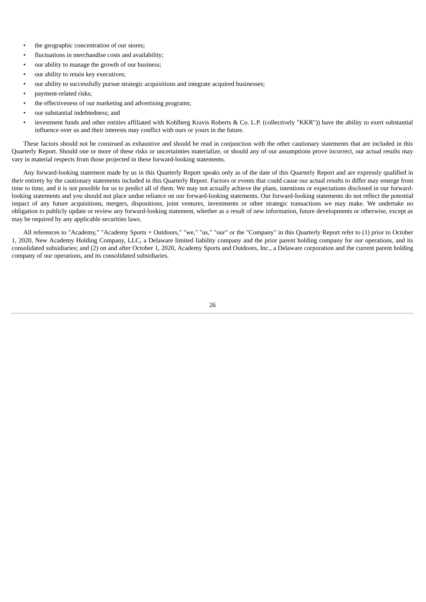- the geographic concentration of our stores;
- fluctuations in merchandise costs and availability;
- our ability to manage the growth of our business;
- our ability to retain key executives;
- our ability to successfully pursue strategic acquisitions and integrate acquired businesses;
- payment-related risks;
- the effectiveness of our marketing and advertising programs;
- our substantial indebtedness; and
- investment funds and other entities affiliated with Kohlberg Kravis Roberts & Co. L.P. (collectively "KKR")) have the ability to exert substantial influence over us and their interests may conflict with ours or yours in the future.

These factors should not be construed as exhaustive and should be read in conjunction with the other cautionary statements that are included in this Quarterly Report. Should one or more of these risks or uncertainties materialize, or should any of our assumptions prove incorrect, our actual results may vary in material respects from those projected in these forward-looking statements.

Any forward-looking statement made by us in this Quarterly Report speaks only as of the date of this Quarterly Report and are expressly qualified in their entirety by the cautionary statements included in this Quarterly Report. Factors or events that could cause our actual results to differ may emerge from time to time, and it is not possible for us to predict all of them. We may not actually achieve the plans, intentions or expectations disclosed in our forwardlooking statements and you should not place undue reliance on our forward-looking statements. Our forward-looking statements do not reflect the potential impact of any future acquisitions, mergers, dispositions, joint ventures, investments or other strategic transactions we may make. We undertake no obligation to publicly update or review any forward-looking statement, whether as a result of new information, future developments or otherwise, except as may be required by any applicable securities laws.

All references to "Academy," "Academy Sports + Outdoors," "we," "us," "our" or the "Company" in this Quarterly Report refer to (1) prior to October 1, 2020, New Academy Holding Company, LLC, a Delaware limited liability company and the prior parent holding company for our operations, and its consolidated subsidiaries; and (2) on and after October 1, 2020, Academy Sports and Outdoors, Inc., a Delaware corporation and the current parent holding company of our operations, and its consolidated subsidiaries.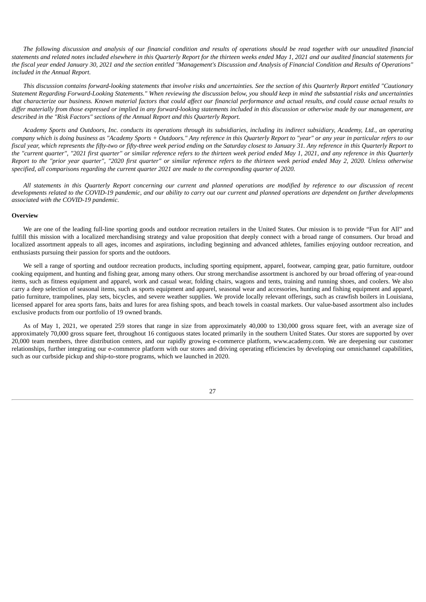The following discussion and analysis of our financial condition and results of operations should be read together with our unaudited financial statements and related notes included elsewhere in this Quarterly Report for the thirteen weeks ended May 1, 2021 and our audited financial statements for the fiscal year ended January 30, 2021 and the section entitled "Management's Discussion and Analysis of Financial Condition and Results of Operations" *included in the Annual Report.*

This discussion contains forward-looking statements that involve risks and uncertainties. See the section of this Quarterly Report entitled "Cautionary Statement Regarding Forward-Looking Statements." When reviewing the discussion below, you should keep in mind the substantial risks and uncertainties that characterize our business. Known material factors that could affect our financial performance and actual results, and could cause actual results to differ materially from those expressed or implied in any forward-looking statements included in this discussion or otherwise made by our management, are *described in the "Risk Factors" sections of the Annual Report and this Quarterly Report.*

Academy Sports and Outdoors, Inc. conducts its operations through its subsidiaries, including its indirect subsidiary, Academy, Ltd., an operating company which is doing business as "Academy Sports + Outdoors." Any reference in this Quarterly Report to "year" or any year in particular refers to our fiscal year, which represents the fifty-two or fifty-three week period ending on the Saturday closest to January 31. Any reference in this Quarterly Report to the "current quarter", "2021 first quarter" or similar reference refers to the thirteen week period ended May 1, 2021, and any reference in this Quarterly Report to the "prior year quarter", "2020 first quarter" or similar reference refers to the thirteen week period ended May 2, 2020. Unless otherwise *specified, all comparisons regarding the current quarter 2021 are made to the corresponding quarter of 2020.*

All statements in this Quarterly Report concerning our current and planned operations are modified by reference to our discussion of recent developments related to the COVID-19 pandemic, and our ability to carry out our current and planned operations are dependent on further developments *associated with the COVID-19 pandemic.*

# **Overview**

We are one of the leading full-line sporting goods and outdoor recreation retailers in the United States. Our mission is to provide "Fun for All" and fulfill this mission with a localized merchandising strategy and value proposition that deeply connect with a broad range of consumers. Our broad and localized assortment appeals to all ages, incomes and aspirations, including beginning and advanced athletes, families enjoying outdoor recreation, and enthusiasts pursuing their passion for sports and the outdoors.

We sell a range of sporting and outdoor recreation products, including sporting equipment, apparel, footwear, camping gear, patio furniture, outdoor cooking equipment, and hunting and fishing gear, among many others. Our strong merchandise assortment is anchored by our broad offering of year-round items, such as fitness equipment and apparel, work and casual wear, folding chairs, wagons and tents, training and running shoes, and coolers. We also carry a deep selection of seasonal items, such as sports equipment and apparel, seasonal wear and accessories, hunting and fishing equipment and apparel, patio furniture, trampolines, play sets, bicycles, and severe weather supplies. We provide locally relevant offerings, such as crawfish boilers in Louisiana, licensed apparel for area sports fans, baits and lures for area fishing spots, and beach towels in coastal markets. Our value-based assortment also includes exclusive products from our portfolio of 19 owned brands.

As of May 1, 2021, we operated 259 stores that range in size from approximately 40,000 to 130,000 gross square feet, with an average size of approximately 70,000 gross square feet, throughout 16 contiguous states located primarily in the southern United States. Our stores are supported by over 20,000 team members, three distribution centers, and our rapidly growing e-commerce platform, www.academy.com. We are deepening our customer relationships, further integrating our e-commerce platform with our stores and driving operating efficiencies by developing our omnichannel capabilities, such as our curbside pickup and ship-to-store programs, which we launched in 2020.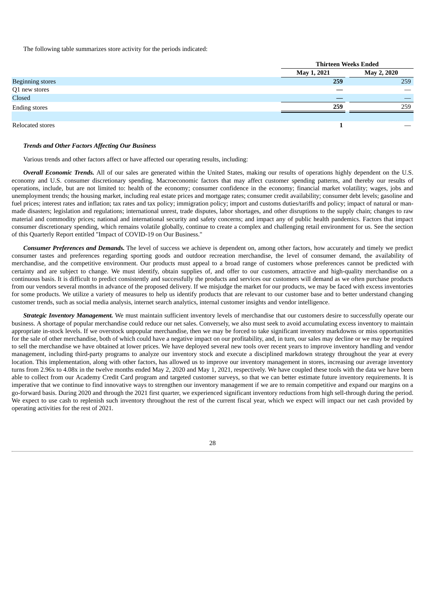The following table summarizes store activity for the periods indicated:

|                      | <b>Thirteen Weeks Ended</b> |             |  |  |
|----------------------|-----------------------------|-------------|--|--|
|                      | May 1, 2021                 | May 2, 2020 |  |  |
| Beginning stores     | 259                         | 259         |  |  |
| Q1 new stores        |                             |             |  |  |
| Closed               |                             | _           |  |  |
| <b>Ending stores</b> | 259                         | 259         |  |  |
|                      |                             |             |  |  |
| Relocated stores     |                             |             |  |  |

#### *Trends and Other Factors Affecting Our Business*

Various trends and other factors affect or have affected our operating results, including:

*Overall Economic Trends.* All of our sales are generated within the United States, making our results of operations highly dependent on the U.S. economy and U.S. consumer discretionary spending. Macroeconomic factors that may affect customer spending patterns, and thereby our results of operations, include, but are not limited to: health of the economy; consumer confidence in the economy; financial market volatility; wages, jobs and unemployment trends; the housing market, including real estate prices and mortgage rates; consumer credit availability; consumer debt levels; gasoline and fuel prices; interest rates and inflation; tax rates and tax policy; immigration policy; import and customs duties/tariffs and policy; impact of natural or manmade disasters; legislation and regulations; international unrest, trade disputes, labor shortages, and other disruptions to the supply chain; changes to raw material and commodity prices; national and international security and safety concerns; and impact any of public health pandemics. Factors that impact consumer discretionary spending, which remains volatile globally, continue to create a complex and challenging retail environment for us. See the section of this Quarterly Report entitled "Impact of COVID-19 on Our Business."

*Consumer Preferences and Demands.* The level of success we achieve is dependent on, among other factors, how accurately and timely we predict consumer tastes and preferences regarding sporting goods and outdoor recreation merchandise, the level of consumer demand, the availability of merchandise, and the competitive environment. Our products must appeal to a broad range of customers whose preferences cannot be predicted with certainty and are subject to change. We must identify, obtain supplies of, and offer to our customers, attractive and high-quality merchandise on a continuous basis. It is difficult to predict consistently and successfully the products and services our customers will demand as we often purchase products from our vendors several months in advance of the proposed delivery. If we misjudge the market for our products, we may be faced with excess inventories for some products. We utilize a variety of measures to help us identify products that are relevant to our customer base and to better understand changing customer trends, such as social media analysis, internet search analytics, internal customer insights and vendor intelligence.

*Strategic Inventory Management.* We must maintain sufficient inventory levels of merchandise that our customers desire to successfully operate our business. A shortage of popular merchandise could reduce our net sales. Conversely, we also must seek to avoid accumulating excess inventory to maintain appropriate in-stock levels. If we overstock unpopular merchandise, then we may be forced to take significant inventory markdowns or miss opportunities for the sale of other merchandise, both of which could have a negative impact on our profitability, and, in turn, our sales may decline or we may be required to sell the merchandise we have obtained at lower prices. We have deployed several new tools over recent years to improve inventory handling and vendor management, including third-party programs to analyze our inventory stock and execute a disciplined markdown strategy throughout the year at every location. This implementation, along with other factors, has allowed us to improve our inventory management in stores, increasing our average inventory turns from 2.96x to 4.08x in the twelve months ended May 2, 2020 and May 1, 2021, respectively. We have coupled these tools with the data we have been able to collect from our Academy Credit Card program and targeted customer surveys, so that we can better estimate future inventory requirements. It is imperative that we continue to find innovative ways to strengthen our inventory management if we are to remain competitive and expand our margins on a go-forward basis. During 2020 and through the 2021 first quarter, we experienced significant inventory reductions from high sell-through during the period. We expect to use cash to replenish such inventory throughout the rest of the current fiscal year, which we expect will impact our net cash provided by operating activities for the rest of 2021.

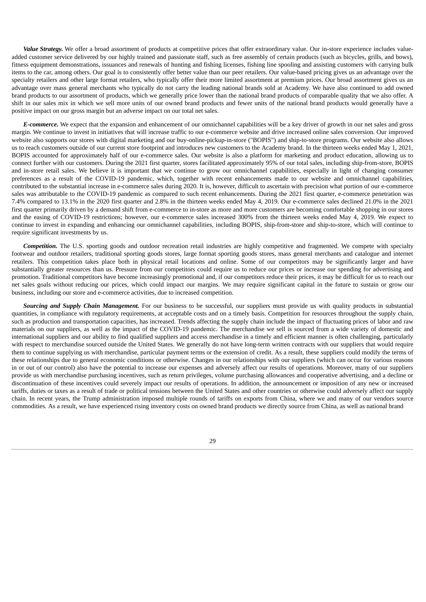*Value Strategy.* We offer a broad assortment of products at competitive prices that offer extraordinary value. Our in-store experience includes valueadded customer service delivered by our highly trained and passionate staff, such as free assembly of certain products (such as bicycles, grills, and bows), fitness equipment demonstrations, issuances and renewals of hunting and fishing licenses, fishing line spooling and assisting customers with carrying bulk items to the car, among others. Our goal is to consistently offer better value than our peer retailers. Our value-based pricing gives us an advantage over the specialty retailers and other large format retailers, who typically offer their more limited assortment at premium prices. Our broad assortment gives us an advantage over mass general merchants who typically do not carry the leading national brands sold at Academy. We have also continued to add owned brand products to our assortment of products, which we generally price lower than the national brand products of comparable quality that we also offer. A shift in our sales mix in which we sell more units of our owned brand products and fewer units of the national brand products would generally have a positive impact on our gross margin but an adverse impact on our total net sales.

*E-commerce.* We expect that the expansion and enhancement of our omnichannel capabilities will be a key driver of growth in our net sales and gross margin. We continue to invest in initiatives that will increase traffic to our e-commerce website and drive increased online sales conversion. Our improved website also supports our stores with digital marketing and our buy-online-pickup-in-store ("BOPIS") and ship-to-store programs. Our website also allows us to reach customers outside of our current store footprint and introduces new customers to the Academy brand. In the thirteen weeks ended May 1, 2021, BOPIS accounted for approximately half of our e-commerce sales. Our website is also a platform for marketing and product education, allowing us to connect further with our customers. During the 2021 first quarter, stores facilitated approximately 95% of our total sales, including ship-from-store, BOPIS and in-store retail sales. We believe it is important that we continue to grow our omnichannel capabilities, especially in light of changing consumer preferences as a result of the COVID-19 pandemic, which, together with recent enhancements made to our website and omnichannel capabilities, contributed to the substantial increase in e-commerce sales during 2020. It is, however, difficult to ascertain with precision what portion of our e-commerce sales was attributable to the COVID-19 pandemic as compared to such recent enhancements. During the 2021 first quarter, e-commerce penetration was 7.4% compared to 13.1% in the 2020 first quarter and 2.8% in the thirteen weeks ended May 4, 2019. Our e-commerce sales declined 21.0% in the 2021 first quarter primarily driven by a demand shift from e-commerce to in-store as more and more customers are becoming comfortable shopping in our stores and the easing of COVID-19 restrictions; however, our e-commerce sales increased 300% from the thirteen weeks ended May 4, 2019. We expect to continue to invest in expanding and enhancing our omnichannel capabilities, including BOPIS, ship-from-store and ship-to-store, which will continue to require significant investments by us.

*Competition.* The U.S. sporting goods and outdoor recreation retail industries are highly competitive and fragmented. We compete with specialty footwear and outdoor retailers, traditional sporting goods stores, large format sporting goods stores, mass general merchants and catalogue and internet retailers. This competition takes place both in physical retail locations and online. Some of our competitors may be significantly larger and have substantially greater resources than us. Pressure from our competitors could require us to reduce our prices or increase our spending for advertising and promotion. Traditional competitors have become increasingly promotional and, if our competitors reduce their prices, it may be difficult for us to reach our net sales goals without reducing our prices, which could impact our margins. We may require significant capital in the future to sustain or grow our business, including our store and e-commerce activities, due to increased competition.

*Sourcing and Supply Chain Management.* For our business to be successful, our suppliers must provide us with quality products in substantial quantities, in compliance with regulatory requirements, at acceptable costs and on a timely basis. Competition for resources throughout the supply chain, such as production and transportation capacities, has increased. Trends affecting the supply chain include the impact of fluctuating prices of labor and raw materials on our suppliers, as well as the impact of the COVID-19 pandemic. The merchandise we sell is sourced from a wide variety of domestic and international suppliers and our ability to find qualified suppliers and access merchandise in a timely and efficient manner is often challenging, particularly with respect to merchandise sourced outside the United States. We generally do not have long-term written contracts with our suppliers that would require them to continue supplying us with merchandise, particular payment terms or the extension of credit. As a result, these suppliers could modify the terms of these relationships due to general economic conditions or otherwise. Changes in our relationships with our suppliers (which can occur for various reasons in or out of our control) also have the potential to increase our expenses and adversely affect our results of operations. Moreover, many of our suppliers provide us with merchandise purchasing incentives, such as return privileges, volume purchasing allowances and cooperative advertising, and a decline or discontinuation of these incentives could severely impact our results of operations. In addition, the announcement or imposition of any new or increased tariffs, duties or taxes as a result of trade or political tensions between the United States and other countries or otherwise could adversely affect our supply chain. In recent years, the Trump administration imposed multiple rounds of tariffs on exports from China, where we and many of our vendors source commodities. As a result, we have experienced rising inventory costs on owned brand products we directly source from China, as well as national brand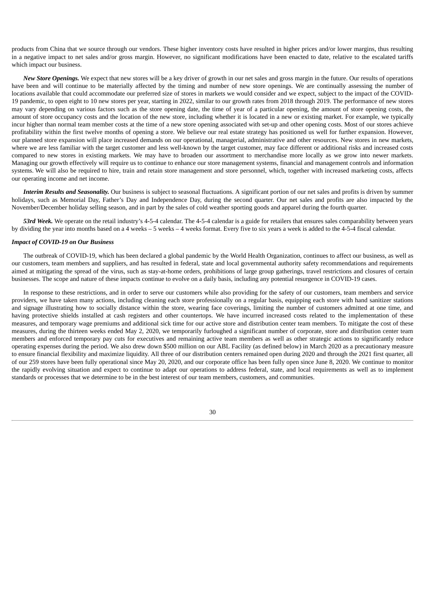products from China that we source through our vendors. These higher inventory costs have resulted in higher prices and/or lower margins, thus resulting in a negative impact to net sales and/or gross margin. However, no significant modifications have been enacted to date, relative to the escalated tariffs which impact our business.

*New Store Openings.* We expect that new stores will be a key driver of growth in our net sales and gross margin in the future. Our results of operations have been and will continue to be materially affected by the timing and number of new store openings. We are continually assessing the number of locations available that could accommodate our preferred size of stores in markets we would consider and we expect, subject to the impact of the COVID-19 pandemic, to open eight to 10 new stores per year, starting in 2022, similar to our growth rates from 2018 through 2019. The performance of new stores may vary depending on various factors such as the store opening date, the time of year of a particular opening, the amount of store opening costs, the amount of store occupancy costs and the location of the new store, including whether it is located in a new or existing market. For example, we typically incur higher than normal team member costs at the time of a new store opening associated with set-up and other opening costs. Most of our stores achieve profitability within the first twelve months of opening a store. We believe our real estate strategy has positioned us well for further expansion. However, our planned store expansion will place increased demands on our operational, managerial, administrative and other resources. New stores in new markets, where we are less familiar with the target customer and less well-known by the target customer, may face different or additional risks and increased costs compared to new stores in existing markets. We may have to broaden our assortment to merchandise more locally as we grow into newer markets. Managing our growth effectively will require us to continue to enhance our store management systems, financial and management controls and information systems. We will also be required to hire, train and retain store management and store personnel, which, together with increased marketing costs, affects our operating income and net income.

*Interim Results and Seasonality.* Our business is subject to seasonal fluctuations. A significant portion of our net sales and profits is driven by summer holidays, such as Memorial Day, Father's Day and Independence Day, during the second quarter. Our net sales and profits are also impacted by the November/December holiday selling season, and in part by the sales of cold weather sporting goods and apparel during the fourth quarter.

*53rd Week.* We operate on the retail industry's 4-5-4 calendar. The 4-5-4 calendar is a guide for retailers that ensures sales comparability between years by dividing the year into months based on a 4 weeks – 5 weeks – 4 weeks format. Every five to six years a week is added to the 4-5-4 fiscal calendar.

#### *Impact of COVID-19 on Our Business*

The outbreak of COVID-19, which has been declared a global pandemic by the World Health Organization, continues to affect our business, as well as our customers, team members and suppliers, and has resulted in federal, state and local governmental authority safety recommendations and requirements aimed at mitigating the spread of the virus, such as stay-at-home orders, prohibitions of large group gatherings, travel restrictions and closures of certain businesses. The scope and nature of these impacts continue to evolve on a daily basis, including any potential resurgence in COVID-19 cases.

In response to these restrictions, and in order to serve our customers while also providing for the safety of our customers, team members and service providers, we have taken many actions, including cleaning each store professionally on a regular basis, equipping each store with hand sanitizer stations and signage illustrating how to socially distance within the store, wearing face coverings, limiting the number of customers admitted at one time, and having protective shields installed at cash registers and other countertops. We have incurred increased costs related to the implementation of these measures, and temporary wage premiums and additional sick time for our active store and distribution center team members. To mitigate the cost of these measures, during the thirteen weeks ended May 2, 2020, we temporarily furloughed a significant number of corporate, store and distribution center team members and enforced temporary pay cuts for executives and remaining active team members as well as other strategic actions to significantly reduce operating expenses during the period. We also drew down \$500 million on our ABL Facility (as defined below) in March 2020 as a precautionary measure to ensure financial flexibility and maximize liquidity. All three of our distribution centers remained open during 2020 and through the 2021 first quarter, all of our 259 stores have been fully operational since May 20, 2020, and our corporate office has been fully open since June 8, 2020. We continue to monitor the rapidly evolving situation and expect to continue to adapt our operations to address federal, state, and local requirements as well as to implement standards or processes that we determine to be in the best interest of our team members, customers, and communities.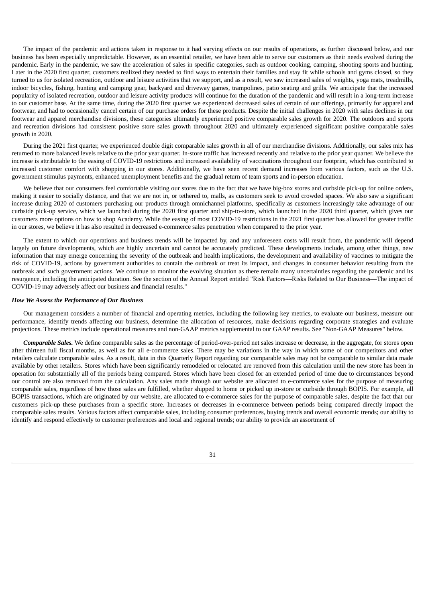The impact of the pandemic and actions taken in response to it had varying effects on our results of operations, as further discussed below, and our business has been especially unpredictable. However, as an essential retailer, we have been able to serve our customers as their needs evolved during the pandemic. Early in the pandemic, we saw the acceleration of sales in specific categories, such as outdoor cooking, camping, shooting sports and hunting. Later in the 2020 first quarter, customers realized they needed to find ways to entertain their families and stay fit while schools and gyms closed, so they turned to us for isolated recreation, outdoor and leisure activities that we support, and as a result, we saw increased sales of weights, yoga mats, treadmills, indoor bicycles, fishing, hunting and camping gear, backyard and driveway games, trampolines, patio seating and grills. We anticipate that the increased popularity of isolated recreation, outdoor and leisure activity products will continue for the duration of the pandemic and will result in a long-term increase to our customer base. At the same time, during the 2020 first quarter we experienced decreased sales of certain of our offerings, primarily for apparel and footwear, and had to occasionally cancel certain of our purchase orders for these products. Despite the initial challenges in 2020 with sales declines in our footwear and apparel merchandise divisions, these categories ultimately experienced positive comparable sales growth for 2020. The outdoors and sports and recreation divisions had consistent positive store sales growth throughout 2020 and ultimately experienced significant positive comparable sales growth in 2020.

During the 2021 first quarter, we experienced double digit comparable sales growth in all of our merchandise divisions. Additionally, our sales mix has returned to more balanced levels relative to the prior year quarter. In-store traffic has increased recently and relative to the prior year quarter. We believe the increase is attributable to the easing of COVID-19 restrictions and increased availability of vaccinations throughout our footprint, which has contributed to increased customer comfort with shopping in our stores. Additionally, we have seen recent demand increases from various factors, such as the U.S. government stimulus payments, enhanced unemployment benefits and the gradual return of team sports and in-person education.

We believe that our consumers feel comfortable visiting our stores due to the fact that we have big-box stores and curbside pick-up for online orders, making it easier to socially distance, and that we are not in, or tethered to, malls, as customers seek to avoid crowded spaces. We also saw a significant increase during 2020 of customers purchasing our products through omnichannel platforms, specifically as customers increasingly take advantage of our curbside pick-up service, which we launched during the 2020 first quarter and ship-to-store, which launched in the 2020 third quarter, which gives our customers more options on how to shop Academy. While the easing of most COVID-19 restrictions in the 2021 first quarter has allowed for greater traffic in our stores, we believe it has also resulted in decreased e-commerce sales penetration when compared to the prior year.

The extent to which our operations and business trends will be impacted by, and any unforeseen costs will result from, the pandemic will depend largely on future developments, which are highly uncertain and cannot be accurately predicted. These developments include, among other things, new information that may emerge concerning the severity of the outbreak and health implications, the development and availability of vaccines to mitigate the risk of COVID-19, actions by government authorities to contain the outbreak or treat its impact, and changes in consumer behavior resulting from the outbreak and such government actions. We continue to monitor the evolving situation as there remain many uncertainties regarding the pandemic and its resurgence, including the anticipated duration. See the section of the Annual Report entitled "Risk Factors—Risks Related to Our Business—The impact of COVID-19 may adversely affect our business and financial results."

#### *How We Assess the Performance of Our Business*

Our management considers a number of financial and operating metrics, including the following key metrics, to evaluate our business, measure our performance, identify trends affecting our business, determine the allocation of resources, make decisions regarding corporate strategies and evaluate projections. These metrics include operational measures and non-GAAP metrics supplemental to our GAAP results. See "Non-GAAP Measures" below.

*Comparable Sales.* We define comparable sales as the percentage of period-over-period net sales increase or decrease, in the aggregate, for stores open after thirteen full fiscal months, as well as for all e-commerce sales. There may be variations in the way in which some of our competitors and other retailers calculate comparable sales. As a result, data in this Quarterly Report regarding our comparable sales may not be comparable to similar data made available by other retailers. Stores which have been significantly remodeled or relocated are removed from this calculation until the new store has been in operation for substantially all of the periods being compared. Stores which have been closed for an extended period of time due to circumstances beyond our control are also removed from the calculation. Any sales made through our website are allocated to e-commerce sales for the purpose of measuring comparable sales, regardless of how those sales are fulfilled, whether shipped to home or picked up in-store or curbside through BOPIS. For example, all BOPIS transactions, which are originated by our website, are allocated to e-commerce sales for the purpose of comparable sales, despite the fact that our customers pick-up these purchases from a specific store. Increases or decreases in e-commerce between periods being compared directly impact the comparable sales results. Various factors affect comparable sales, including consumer preferences, buying trends and overall economic trends; our ability to identify and respond effectively to customer preferences and local and regional trends; our ability to provide an assortment of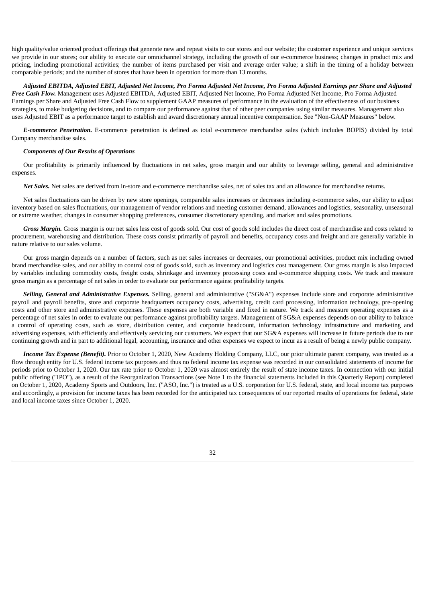high quality/value oriented product offerings that generate new and repeat visits to our stores and our website; the customer experience and unique services we provide in our stores; our ability to execute our omnichannel strategy, including the growth of our e-commerce business; changes in product mix and pricing, including promotional activities; the number of items purchased per visit and average order value; a shift in the timing of a holiday between comparable periods; and the number of stores that have been in operation for more than 13 months.

Adjusted EBITDA, Adjusted EBIT, Adjusted Net Income, Pro Forma Adjusted Net Income, Pro Forma Adjusted Earnings per Share and Adjusted *Free Cash Flow.* Management uses Adjusted EBITDA, Adjusted EBIT, Adjusted Net Income, Pro Forma Adjusted Net Income, Pro Forma Adjusted Earnings per Share and Adjusted Free Cash Flow to supplement GAAP measures of performance in the evaluation of the effectiveness of our business strategies, to make budgeting decisions, and to compare our performance against that of other peer companies using similar measures. Management also uses Adjusted EBIT as a performance target to establish and award discretionary annual incentive compensation. See "Non-GAAP Measures" below.

*E-commerce Penetration.* E-commerce penetration is defined as total e-commerce merchandise sales (which includes BOPIS) divided by total Company merchandise sales.

## *Components of Our Results of Operations*

Our profitability is primarily influenced by fluctuations in net sales, gross margin and our ability to leverage selling, general and administrative expenses.

*Net Sales.* Net sales are derived from in-store and e-commerce merchandise sales, net of sales tax and an allowance for merchandise returns.

Net sales fluctuations can be driven by new store openings, comparable sales increases or decreases including e-commerce sales, our ability to adjust inventory based on sales fluctuations, our management of vendor relations and meeting customer demand, allowances and logistics, seasonality, unseasonal or extreme weather, changes in consumer shopping preferences, consumer discretionary spending, and market and sales promotions.

*Gross Margin.* Gross margin is our net sales less cost of goods sold. Our cost of goods sold includes the direct cost of merchandise and costs related to procurement, warehousing and distribution. These costs consist primarily of payroll and benefits, occupancy costs and freight and are generally variable in nature relative to our sales volume.

Our gross margin depends on a number of factors, such as net sales increases or decreases, our promotional activities, product mix including owned brand merchandise sales, and our ability to control cost of goods sold, such as inventory and logistics cost management. Our gross margin is also impacted by variables including commodity costs, freight costs, shrinkage and inventory processing costs and e-commerce shipping costs. We track and measure gross margin as a percentage of net sales in order to evaluate our performance against profitability targets.

*Selling, General and Administrative Expenses.* Selling, general and administrative ("SG&A") expenses include store and corporate administrative payroll and payroll benefits, store and corporate headquarters occupancy costs, advertising, credit card processing, information technology, pre-opening costs and other store and administrative expenses. These expenses are both variable and fixed in nature. We track and measure operating expenses as a percentage of net sales in order to evaluate our performance against profitability targets. Management of SG&A expenses depends on our ability to balance a control of operating costs, such as store, distribution center, and corporate headcount, information technology infrastructure and marketing and advertising expenses, with efficiently and effectively servicing our customers. We expect that our SG&A expenses will increase in future periods due to our continuing growth and in part to additional legal, accounting, insurance and other expenses we expect to incur as a result of being a newly public company.

*Income Tax Expense (Benefit).* Prior to October 1, 2020, New Academy Holding Company, LLC, our prior ultimate parent company, was treated as a flow through entity for U.S. federal income tax purposes and thus no federal income tax expense was recorded in our consolidated statements of income for periods prior to October 1, 2020. Our tax rate prior to October 1, 2020 was almost entirely the result of state income taxes. In connection with our initial public offering ("IPO"), as a result of the Reorganization Transactions (see Note 1 to the financial statements included in this Quarterly Report) completed on October 1, 2020, Academy Sports and Outdoors, Inc. ("ASO, Inc.") is treated as a U.S. corporation for U.S. federal, state, and local income tax purposes and accordingly, a provision for income taxes has been recorded for the anticipated tax consequences of our reported results of operations for federal, state and local income taxes since October 1, 2020.

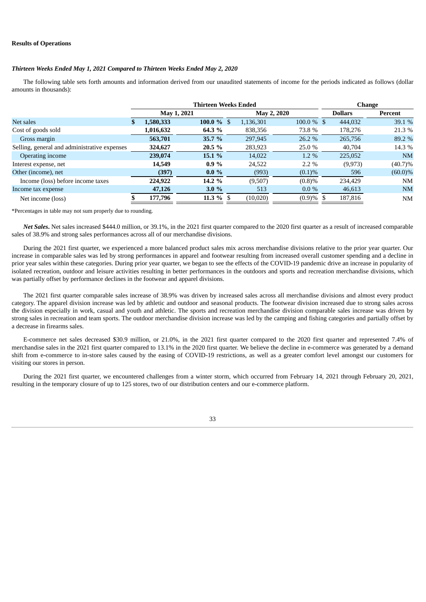## *Thirteen Weeks Ended May 1, 2021 Compared to Thirteen Weeks Ended May 2, 2020*

The following table sets forth amounts and information derived from our unaudited statements of income for the periods indicated as follows (dollar amounts in thousands):

|                                              | <b>Thirteen Weeks Ended</b> |           |               |  |           | Change        |  |                |            |
|----------------------------------------------|-----------------------------|-----------|---------------|--|-----------|---------------|--|----------------|------------|
|                                              |                             |           | May 1, 2021   |  |           | May 2, 2020   |  | <b>Dollars</b> | Percent    |
| Net sales                                    | S                           | 1,580,333 | $100.0 \%$ \$ |  | 1,136,301 | $100.0\%$ \$  |  | 444,032        | 39.1 %     |
| Cost of goods sold                           |                             | 1,016,632 | 64.3 %        |  | 838,356   | 73.8 %        |  | 178,276        | 21.3%      |
| Gross margin                                 |                             | 563,701   | <b>35.7 %</b> |  | 297,945   | 26.2 %        |  | 265,756        | 89.2 %     |
| Selling, general and administrative expenses |                             | 324,627   | 20.5%         |  | 283,923   | 25.0 %        |  | 40,704         | 14.3 %     |
| Operating income                             |                             | 239,074   | 15.1 %        |  | 14,022    | $1.2\%$       |  | 225,052        | <b>NM</b>  |
| Interest expense, net                        |                             | 14,549    | $0.9\%$       |  | 24,522    | $2.2\%$       |  | (9, 973)       | $(40.7)\%$ |
| Other (income), net                          |                             | (397)     | $0.0 \%$      |  | (993)     | $(0.1)\%$     |  | 596            | $(60.0)\%$ |
| Income (loss) before income taxes            |                             | 224,922   | 14.2 %        |  | (9,507)   | (0.8)%        |  | 234,429        | <b>NM</b>  |
| Income tax expense                           |                             | 47,126    | 3.0%          |  | 513       | $0.0\%$       |  | 46,613         | <b>NM</b>  |
| Net income (loss)                            |                             | 177,796   | 11.3 %        |  | (10,020)  | $(0.9) \%$ \$ |  | 187,816        | <b>NM</b>  |

#### \*Percentages in table may not sum properly due to rounding.

*Net Sales***.** Net sales increased \$444.0 million, or 39.1%, in the 2021 first quarter compared to the 2020 first quarter as a result of increased comparable sales of 38.9% and strong sales performances across all of our merchandise divisions.

During the 2021 first quarter, we experienced a more balanced product sales mix across merchandise divisions relative to the prior year quarter. Our increase in comparable sales was led by strong performances in apparel and footwear resulting from increased overall customer spending and a decline in prior year sales within these categories. During prior year quarter, we began to see the effects of the COVID-19 pandemic drive an increase in popularity of isolated recreation, outdoor and leisure activities resulting in better performances in the outdoors and sports and recreation merchandise divisions, which was partially offset by performance declines in the footwear and apparel divisions.

The 2021 first quarter comparable sales increase of 38.9% was driven by increased sales across all merchandise divisions and almost every product category. The apparel division increase was led by athletic and outdoor and seasonal products. The footwear division increased due to strong sales across the division especially in work, casual and youth and athletic. The sports and recreation merchandise division comparable sales increase was driven by strong sales in recreation and team sports. The outdoor merchandise division increase was led by the camping and fishing categories and partially offset by a decrease in firearms sales.

E-commerce net sales decreased \$30.9 million, or 21.0%, in the 2021 first quarter compared to the 2020 first quarter and represented 7.4% of merchandise sales in the 2021 first quarter compared to 13.1% in the 2020 first quarter. We believe the decline in e-commerce was generated by a demand shift from e-commerce to in-store sales caused by the easing of COVID-19 restrictions, as well as a greater comfort level amongst our customers for visiting our stores in person.

During the 2021 first quarter, we encountered challenges from a winter storm, which occurred from February 14, 2021 through February 20, 2021, resulting in the temporary closure of up to 125 stores, two of our distribution centers and our e-commerce platform.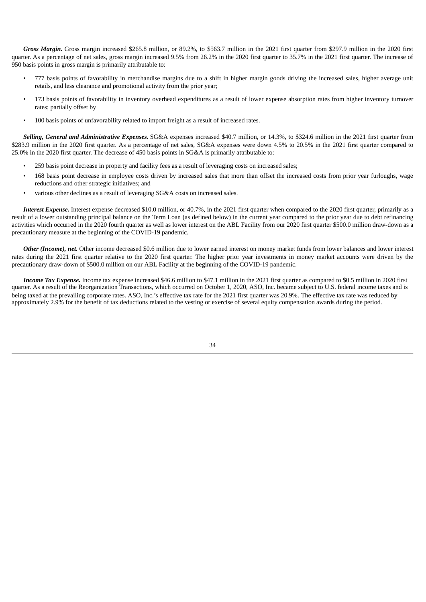*Gross Margin.* Gross margin increased \$265.8 million, or 89.2%, to \$563.7 million in the 2021 first quarter from \$297.9 million in the 2020 first quarter. As a percentage of net sales, gross margin increased 9.5% from 26.2% in the 2020 first quarter to 35.7% in the 2021 first quarter. The increase of 950 basis points in gross margin is primarily attributable to:

- 777 basis points of favorability in merchandise margins due to a shift in higher margin goods driving the increased sales, higher average unit retails, and less clearance and promotional activity from the prior year;
- 173 basis points of favorability in inventory overhead expenditures as a result of lower expense absorption rates from higher inventory turnover rates; partially offset by
- 100 basis points of unfavorability related to import freight as a result of increased rates.

*Selling, General and Administrative Expenses.* SG&A expenses increased \$40.7 million, or 14.3%, to \$324.6 million in the 2021 first quarter from \$283.9 million in the 2020 first quarter. As a percentage of net sales, SG&A expenses were down 4.5% to 20.5% in the 2021 first quarter compared to 25.0% in the 2020 first quarter. The decrease of 450 basis points in SG&A is primarily attributable to:

- 259 basis point decrease in property and facility fees as a result of leveraging costs on increased sales;
- 168 basis point decrease in employee costs driven by increased sales that more than offset the increased costs from prior year furloughs, wage reductions and other strategic initiatives; and
- various other declines as a result of leveraging SG&A costs on increased sales.

*Interest Expense.* Interest expense decreased \$10.0 million, or 40.7%, in the 2021 first quarter when compared to the 2020 first quarter, primarily as a result of a lower outstanding principal balance on the Term Loan (as defined below) in the current year compared to the prior year due to debt refinancing activities which occurred in the 2020 fourth quarter as well as lower interest on the ABL Facility from our 2020 first quarter \$500.0 million draw-down as a precautionary measure at the beginning of the COVID-19 pandemic.

*Other (Income), net.* Other income decreased \$0.6 million due to lower earned interest on money market funds from lower balances and lower interest rates during the 2021 first quarter relative to the 2020 first quarter. The higher prior year investments in money market accounts were driven by the precautionary draw-down of \$500.0 million on our ABL Facility at the beginning of the COVID-19 pandemic.

*Income Tax Expense.* Income tax expense increased \$46.6 million to \$47.1 million in the 2021 first quarter as compared to \$0.5 million in 2020 first quarter. As a result of the Reorganization Transactions, which occurred on October 1, 2020, ASO, Inc. became subject to U.S. federal income taxes and is being taxed at the prevailing corporate rates. ASO, Inc.'s effective tax rate for the 2021 first quarter was 20.9%. The effective tax rate was reduced by approximately 2.9% for the benefit of tax deductions related to the vesting or exercise of several equity compensation awards during the period.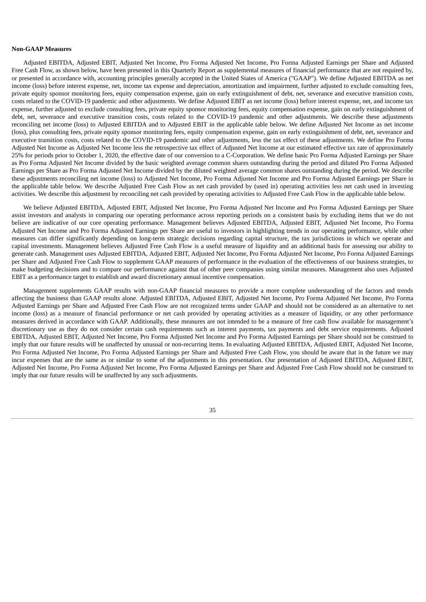#### **Non-GAAP Measures**

Adjusted EBITDA, Adjusted EBIT, Adjusted Net Income, Pro Forma Adjusted Net Income, Pro Forma Adjusted Earnings per Share and Adjusted Free Cash Flow, as shown below, have been presented in this Quarterly Report as supplemental measures of financial performance that are not required by, or presented in accordance with, accounting principles generally accepted in the United States of America ("GAAP"). We define Adjusted EBITDA as net income (loss) before interest expense, net, income tax expense and depreciation, amortization and impairment, further adjusted to exclude consulting fees, private equity sponsor monitoring fees, equity compensation expense, gain on early extinguishment of debt, net, severance and executive transition costs, costs related to the COVID-19 pandemic and other adjustments. We define Adjusted EBIT as net income (loss) before interest expense, net, and income tax expense, further adjusted to exclude consulting fees, private equity sponsor monitoring fees, equity compensation expense, gain on early extinguishment of debt, net, severance and executive transition costs, costs related to the COVID-19 pandemic and other adjustments. We describe these adjustments reconciling net income (loss) to Adjusted EBITDA and to Adjusted EBIT in the applicable table below. We define Adjusted Net Income as net income (loss), plus consulting fees, private equity sponsor monitoring fees, equity compensation expense, gain on early extinguishment of debt, net, severance and executive transition costs, costs related to the COVID-19 pandemic and other adjustments, less the tax effect of these adjustments. We define Pro Forma Adjusted Net Income as Adjusted Net Income less the retrospective tax effect of Adjusted Net Income at our estimated effective tax rate of approximately 25% for periods prior to October 1, 2020, the effective date of our conversion to a C-Corporation. We define basic Pro Forma Adjusted Earnings per Share as Pro Forma Adjusted Net Income divided by the basic weighted average common shares outstanding during the period and diluted Pro Forma Adjusted Earnings per Share as Pro Forma Adjusted Net Income divided by the diluted weighted average common shares outstanding during the period. We describe these adjustments reconciling net income (loss) to Adjusted Net Income, Pro Forma Adjusted Net Income and Pro Forma Adjusted Earnings per Share in the applicable table below. We describe Adjusted Free Cash Flow as net cash provided by (used in) operating activities less net cash used in investing activities. We describe this adjustment by reconciling net cash provided by operating activities to Adjusted Free Cash Flow in the applicable table below.

We believe Adjusted EBITDA, Adjusted EBIT, Adjusted Net Income, Pro Forma Adjusted Net Income and Pro Forma Adjusted Earnings per Share assist investors and analysts in comparing our operating performance across reporting periods on a consistent basis by excluding items that we do not believe are indicative of our core operating performance. Management believes Adjusted EBITDA, Adjusted EBIT, Adjusted Net Income, Pro Forma Adjusted Net Income and Pro Forma Adjusted Earnings per Share are useful to investors in highlighting trends in our operating performance, while other measures can differ significantly depending on long-term strategic decisions regarding capital structure, the tax jurisdictions in which we operate and capital investments. Management believes Adjusted Free Cash Flow is a useful measure of liquidity and an additional basis for assessing our ability to generate cash. Management uses Adjusted EBITDA, Adjusted EBIT, Adjusted Net Income, Pro Forma Adjusted Net Income, Pro Forma Adjusted Earnings per Share and Adjusted Free Cash Flow to supplement GAAP measures of performance in the evaluation of the effectiveness of our business strategies, to make budgeting decisions and to compare our performance against that of other peer companies using similar measures. Management also uses Adjusted EBIT as a performance target to establish and award discretionary annual incentive compensation.

Management supplements GAAP results with non-GAAP financial measures to provide a more complete understanding of the factors and trends affecting the business than GAAP results alone. Adjusted EBITDA, Adjusted EBIT, Adjusted Net Income, Pro Forma Adjusted Net Income, Pro Forma Adjusted Earnings per Share and Adjusted Free Cash Flow are not recognized terms under GAAP and should not be considered as an alternative to net income (loss) as a measure of financial performance or net cash provided by operating activities as a measure of liquidity, or any other performance measures derived in accordance with GAAP. Additionally, these measures are not intended to be a measure of free cash flow available for management's discretionary use as they do not consider certain cash requirements such as interest payments, tax payments and debt service requirements. Adjusted EBITDA, Adjusted EBIT, Adjusted Net Income, Pro Forma Adjusted Net Income and Pro Forma Adjusted Earnings per Share should not be construed to imply that our future results will be unaffected by unusual or non-recurring items. In evaluating Adjusted EBITDA, Adjusted EBIT, Adjusted Net Income, Pro Forma Adjusted Net Income, Pro Forma Adjusted Earnings per Share and Adjusted Free Cash Flow, you should be aware that in the future we may incur expenses that are the same as or similar to some of the adjustments in this presentation. Our presentation of Adjusted EBITDA, Adjusted EBIT, Adjusted Net Income, Pro Forma Adjusted Net Income, Pro Forma Adjusted Earnings per Share and Adjusted Free Cash Flow should not be construed to imply that our future results will be unaffected by any such adjustments.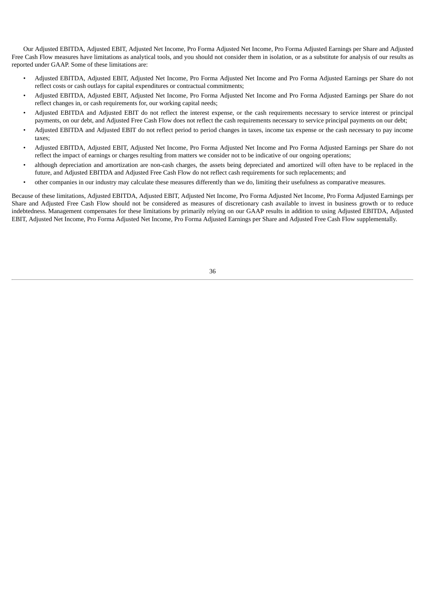Our Adjusted EBITDA, Adjusted EBIT, Adjusted Net Income, Pro Forma Adjusted Net Income, Pro Forma Adjusted Earnings per Share and Adjusted Free Cash Flow measures have limitations as analytical tools, and you should not consider them in isolation, or as a substitute for analysis of our results as reported under GAAP. Some of these limitations are:

- Adjusted EBITDA, Adjusted EBIT, Adjusted Net Income, Pro Forma Adjusted Net Income and Pro Forma Adjusted Earnings per Share do not reflect costs or cash outlays for capital expenditures or contractual commitments;
- Adjusted EBITDA, Adjusted EBIT, Adjusted Net Income, Pro Forma Adjusted Net Income and Pro Forma Adjusted Earnings per Share do not reflect changes in, or cash requirements for, our working capital needs;
- Adjusted EBITDA and Adjusted EBIT do not reflect the interest expense, or the cash requirements necessary to service interest or principal payments, on our debt, and Adjusted Free Cash Flow does not reflect the cash requirements necessary to service principal payments on our debt;
- Adjusted EBITDA and Adjusted EBIT do not reflect period to period changes in taxes, income tax expense or the cash necessary to pay income taxes;
- Adjusted EBITDA, Adjusted EBIT, Adjusted Net Income, Pro Forma Adjusted Net Income and Pro Forma Adjusted Earnings per Share do not reflect the impact of earnings or charges resulting from matters we consider not to be indicative of our ongoing operations;
- although depreciation and amortization are non-cash charges, the assets being depreciated and amortized will often have to be replaced in the future, and Adjusted EBITDA and Adjusted Free Cash Flow do not reflect cash requirements for such replacements; and
- other companies in our industry may calculate these measures differently than we do, limiting their usefulness as comparative measures.

Because of these limitations, Adjusted EBITDA, Adjusted EBIT, Adjusted Net Income, Pro Forma Adjusted Net Income, Pro Forma Adjusted Earnings per Share and Adjusted Free Cash Flow should not be considered as measures of discretionary cash available to invest in business growth or to reduce indebtedness. Management compensates for these limitations by primarily relying on our GAAP results in addition to using Adjusted EBITDA, Adjusted EBIT, Adjusted Net Income, Pro Forma Adjusted Net Income, Pro Forma Adjusted Earnings per Share and Adjusted Free Cash Flow supplementally.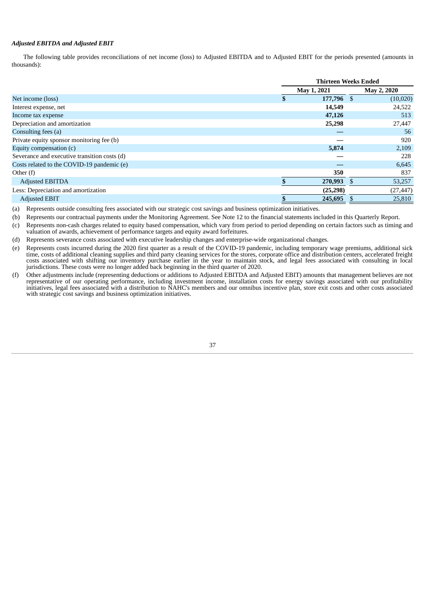## *Adjusted EBITDA and Adjusted EBIT*

The following table provides reconciliations of net income (loss) to Adjusted EBITDA and to Adjusted EBIT for the periods presented (amounts in thousands):

|                                              |   | <b>Thirteen Weeks Ended</b> |    |             |  |  |
|----------------------------------------------|---|-----------------------------|----|-------------|--|--|
|                                              |   | May 1, 2021                 |    | May 2, 2020 |  |  |
| Net income (loss)                            | S | 177,796 \$                  |    | (10,020)    |  |  |
| Interest expense, net                        |   | 14,549                      |    | 24,522      |  |  |
| Income tax expense                           |   | 47,126                      |    | 513         |  |  |
| Depreciation and amortization                |   | 25,298                      |    | 27,447      |  |  |
| Consulting fees (a)                          |   |                             |    | 56          |  |  |
| Private equity sponsor monitoring fee (b)    |   |                             |    | 920         |  |  |
| Equity compensation $(c)$                    |   | 5,874                       |    | 2,109       |  |  |
| Severance and executive transition costs (d) |   |                             |    | 228         |  |  |
| Costs related to the COVID-19 pandemic (e)   |   |                             |    | 6,645       |  |  |
| Other (f)                                    |   | 350                         |    | 837         |  |  |
| <b>Adjusted EBITDA</b>                       |   | 270,993                     | -S | 53,257      |  |  |
| Less: Depreciation and amortization          |   | (25, 298)                   |    | (27, 447)   |  |  |
| <b>Adjusted EBIT</b>                         |   | 245,695                     | S  | 25,810      |  |  |

(a) Represents outside consulting fees associated with our strategic cost savings and business optimization initiatives.

(b) Represents our contractual payments under the Monitoring Agreement. See Note 12 to the financial statements included in this Quarterly Report.

(c) Represents non-cash charges related to equity based compensation, which vary from period to period depending on certain factors such as timing and valuation of awards, achievement of performance targets and equity award forfeitures.

(d) Represents severance costs associated with executive leadership changes and enterprise-wide organizational changes.

- (e) Represents costs incurred during the 2020 first quarter as a result of the COVID-19 pandemic, including temporary wage premiums, additional sick time, costs of additional cleaning supplies and third party cleaning services for the stores, corporate office and distribution centers, accelerated freight costs associated with shifting our inventory purchase earlier in the year to maintain stock, and legal fees associated with consulting in local jurisdictions. These costs were no longer added back beginning in the third quarter of 2020.
- (f) Other adjustments include (representing deductions or additions to Adjusted EBITDA and Adjusted EBIT) amounts that management believes are not representative of our operating performance, including investment income, installation costs for energy savings associated with our profitability initiatives, legal fees associated with a distribution to NAHC's members and our omnibus incentive plan, store exit costs and other costs associated with strategic cost savings and business optimization initiatives.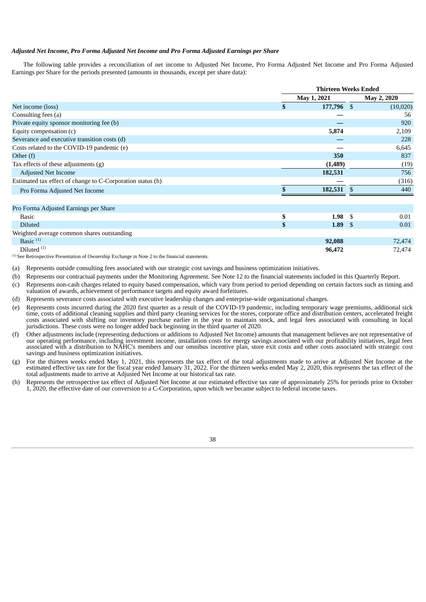#### *Adjusted Net Income, Pro Forma Adjusted Net Income and Pro Forma Adjusted Earnings per Share*

The following table provides a reconciliation of net income to Adjusted Net Income, Pro Forma Adjusted Net Income and Pro Forma Adjusted Earnings per Share for the periods presented (amounts in thousands, except per share data):

|                                                            | <b>Thirteen Weeks Ended</b> |     |             |  |  |
|------------------------------------------------------------|-----------------------------|-----|-------------|--|--|
|                                                            | May 1, 2021                 |     | May 2, 2020 |  |  |
| Net income (loss)                                          | \$<br>177,796 \$            |     | (10,020)    |  |  |
| Consulting fees (a)                                        |                             |     | 56          |  |  |
| Private equity sponsor monitoring fee (b)                  |                             |     | 920         |  |  |
| Equity compensation (c)                                    | 5,874                       |     | 2,109       |  |  |
| Severance and executive transition costs (d)               |                             |     | 228         |  |  |
| Costs related to the COVID-19 pandemic (e)                 |                             |     | 6,645       |  |  |
| Other (f)                                                  | 350                         |     | 837         |  |  |
| Tax effects of these adjustments $(g)$                     | (1,489)                     |     | (19)        |  |  |
| <b>Adjusted Net Income</b>                                 | 182,531                     |     | 756         |  |  |
| Estimated tax effect of change to C-Corporation status (h) |                             |     | (316)       |  |  |
| Pro Forma Adjusted Net Income                              | 182,531                     | -\$ | 440         |  |  |
| Pro Forma Adjusted Earnings per Share                      |                             |     |             |  |  |
| Basic                                                      | \$<br>1.98                  | \$. | 0.01        |  |  |
| <b>Diluted</b>                                             | \$<br>1.89                  | -S  | 0.01        |  |  |
| Weighted average common shares outstanding                 |                             |     |             |  |  |
| Basic $(1)$                                                | 92,088                      |     | 72,474      |  |  |
| Diluted $(1)$                                              | 96,472                      |     | 72,474      |  |  |

 $<sup>(1)</sup>$  See Retrospective Presentation of Ownership Exchange in Note 2 to the financial statements.</sup>

- (a) Represents outside consulting fees associated with our strategic cost savings and business optimization initiatives.
- (b) Represents our contractual payments under the Monitoring Agreement. See Note 12 to the financial statements included in this Quarterly Report.
- (c) Represents non-cash charges related to equity based compensation, which vary from period to period depending on certain factors such as timing and valuation of awards, achievement of performance targets and equity award forfeitures.
- (d) Represents severance costs associated with executive leadership changes and enterprise-wide organizational changes.
- (e) Represents costs incurred during the 2020 first quarter as a result of the COVID-19 pandemic, including temporary wage premiums, additional sick time, costs of additional cleaning supplies and third party cleaning services for the stores, corporate office and distribution centers, accelerated freight costs associated with shifting our inventory purchase earlier in the year to maintain stock, and legal fees associated with consulting in local jurisdictions. These costs were no longer added back beginning in the third quarter of 2020.
- (f) Other adjustments include (representing deductions or additions to Adjusted Net Income) amounts that management believes are not representative of our operating performance, including investment income, installation costs for energy savings associated with our profitability initiatives, legal fees associated with a distribution to NAHC's members and our omnibus incentive plan, store exit costs and other costs associated with strategic cost savings and business optimization initiatives.
- (g) For the thirteen weeks ended May 1, 2021, this represents the tax effect of the total adjustments made to arrive at Adjusted Net Income at the estimated effective tax rate for the fiscal year ended January 31, 2022. For the thirteen weeks ended May 2, 2020, this represents the tax effect of the total adjustments made to arrive at Adjusted Net Income at our historical tax rate.
- (h) Represents the retrospective tax effect of Adjusted Net Income at our estimated effective tax rate of approximately 25% for periods prior to October 1, 2020, the effective date of our conversion to a C-Corporation, upon which we became subject to federal income taxes.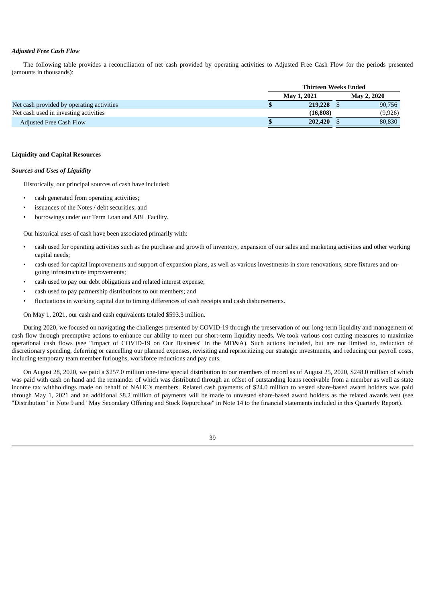# *Adjusted Free Cash Flow*

The following table provides a reconciliation of net cash provided by operating activities to Adjusted Free Cash Flow for the periods presented (amounts in thousands):

| <b>Thirteen Weeks Ended</b> |  |             |
|-----------------------------|--|-------------|
| <b>May 1, 2021</b>          |  | May 2, 2020 |
| 219,228                     |  | 90,756      |
| (16, 808)                   |  | (9,926)     |
| 202,420                     |  | 80,830      |
|                             |  |             |

## **Liquidity and Capital Resources**

## *Sources and Uses of Liquidity*

Historically, our principal sources of cash have included:

- cash generated from operating activities;
- issuances of the Notes / debt securities; and
- borrowings under our Term Loan and ABL Facility.

Our historical uses of cash have been associated primarily with:

- cash used for operating activities such as the purchase and growth of inventory, expansion of our sales and marketing activities and other working capital needs;
- cash used for capital improvements and support of expansion plans, as well as various investments in store renovations, store fixtures and ongoing infrastructure improvements;
- cash used to pay our debt obligations and related interest expense;
- cash used to pay partnership distributions to our members; and
- fluctuations in working capital due to timing differences of cash receipts and cash disbursements.

On May 1, 2021, our cash and cash equivalents totaled \$593.3 million.

During 2020, we focused on navigating the challenges presented by COVID-19 through the preservation of our long-term liquidity and management of cash flow through preemptive actions to enhance our ability to meet our short-term liquidity needs. We took various cost cutting measures to maximize operational cash flows (see "Impact of COVID-19 on Our Business" in the MD&A). Such actions included, but are not limited to, reduction of discretionary spending, deferring or cancelling our planned expenses, revisiting and reprioritizing our strategic investments, and reducing our payroll costs, including temporary team member furloughs, workforce reductions and pay cuts.

On August 28, 2020, we paid a \$257.0 million one-time special distribution to our members of record as of August 25, 2020, \$248.0 million of which was paid with cash on hand and the remainder of which was distributed through an offset of outstanding loans receivable from a member as well as state income tax withholdings made on behalf of NAHC's members. Related cash payments of \$24.0 million to vested share-based award holders was paid through May 1, 2021 and an additional \$8.2 million of payments will be made to unvested share-based award holders as the related awards vest (see "Distribution" in Note 9 and "May Secondary Offering and Stock Repurchase" in Note 14 to the financial statements included in this Quarterly Report).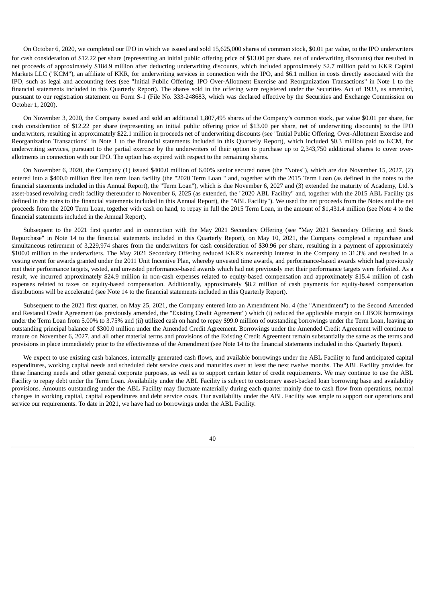On October 6, 2020, we completed our IPO in which we issued and sold 15,625,000 shares of common stock, \$0.01 par value, to the IPO underwriters for cash consideration of \$12.22 per share (representing an initial public offering price of \$13.00 per share, net of underwriting discounts) that resulted in net proceeds of approximately \$184.9 million after deducting underwriting discounts, which included approximately \$2.7 million paid to KKR Capital Markets LLC ("KCM"), an affiliate of KKR, for underwriting services in connection with the IPO, and \$6.1 million in costs directly associated with the IPO, such as legal and accounting fees (see "Initial Public Offering, IPO Over-Allotment Exercise and Reorganization Transactions" in Note 1 to the financial statements included in this Quarterly Report). The shares sold in the offering were registered under the Securities Act of 1933, as amended, pursuant to our registration statement on Form S-1 (File No. 333-248683, which was declared effective by the Securities and Exchange Commission on October 1, 2020).

On November 3, 2020, the Company issued and sold an additional 1,807,495 shares of the Company's common stock, par value \$0.01 per share, for cash consideration of \$12.22 per share (representing an initial public offering price of \$13.00 per share, net of underwriting discounts) to the IPO underwriters, resulting in approximately \$22.1 million in proceeds net of underwriting discounts (see "Initial Public Offering, Over-Allotment Exercise and Reorganization Transactions" in Note 1 to the financial statements included in this Quarterly Report), which included \$0.3 million paid to KCM, for underwriting services, pursuant to the partial exercise by the underwriters of their option to purchase up to 2,343,750 additional shares to cover overallotments in connection with our IPO. The option has expired with respect to the remaining shares.

On November 6, 2020, the Company (1) issued \$400.0 million of 6.00% senior secured notes (the "Notes"), which are due November 15, 2027, (2) entered into a \$400.0 million first lien term loan facility (the "2020 Term Loan " and, together with the 2015 Term Loan (as defined in the notes to the financial statements included in this Annual Report), the "Term Loan"), which is due November 6, 2027 and (3) extended the maturity of Academy, Ltd.'s asset-based revolving credit facility thereunder to November 6, 2025 (as extended, the "2020 ABL Facility" and, together with the 2015 ABL Facility (as defined in the notes to the financial statements included in this Annual Report), the "ABL Facility"). We used the net proceeds from the Notes and the net proceeds from the 2020 Term Loan, together with cash on hand, to repay in full the 2015 Term Loan, in the amount of \$1,431.4 million (see Note 4 to the financial statements included in the Annual Report).

Subsequent to the 2021 first quarter and in connection with the May 2021 Secondary Offering (see "May 2021 Secondary Offering and Stock Repurchase" in Note 14 to the financial statements included in this Quarterly Report), on May 10, 2021, the Company completed a repurchase and simultaneous retirement of 3,229,974 shares from the underwriters for cash consideration of \$30.96 per share, resulting in a payment of approximately \$100.0 million to the underwriters. The May 2021 Secondary Offering reduced KKR's ownership interest in the Company to 31.3% and resulted in a vesting event for awards granted under the 2011 Unit Incentive Plan, whereby unvested time awards, and performance-based awards which had previously met their performance targets, vested, and unvested performance-based awards which had not previously met their performance targets were forfeited. As a result, we incurred approximately \$24.9 million in non-cash expenses related to equity-based compensation and approximately \$15.4 million of cash expenses related to taxes on equity-based compensation. Additionally, approximately \$8.2 million of cash payments for equity-based compensation distributions will be accelerated (see Note 14 to the financial statements included in this Quarterly Report).

Subsequent to the 2021 first quarter, on May 25, 2021, the Company entered into an Amendment No. 4 (the "Amendment") to the Second Amended and Restated Credit Agreement (as previously amended, the "Existing Credit Agreement") which (i) reduced the applicable margin on LIBOR borrowings under the Term Loan from 5.00% to 3.75% and (ii) utilized cash on hand to repay \$99.0 million of outstanding borrowings under the Term Loan, leaving an outstanding principal balance of \$300.0 million under the Amended Credit Agreement. Borrowings under the Amended Credit Agreement will continue to mature on November 6, 2027, and all other material terms and provisions of the Existing Credit Agreement remain substantially the same as the terms and provisions in place immediately prior to the effectiveness of the Amendment (see Note 14 to the financial statements included in this Quarterly Report).

We expect to use existing cash balances, internally generated cash flows, and available borrowings under the ABL Facility to fund anticipated capital expenditures, working capital needs and scheduled debt service costs and maturities over at least the next twelve months. The ABL Facility provides for these financing needs and other general corporate purposes, as well as to support certain letter of credit requirements. We may continue to use the ABL Facility to repay debt under the Term Loan. Availability under the ABL Facility is subject to customary asset-backed loan borrowing base and availability provisions. Amounts outstanding under the ABL Facility may fluctuate materially during each quarter mainly due to cash flow from operations, normal changes in working capital, capital expenditures and debt service costs. Our availability under the ABL Facility was ample to support our operations and service our requirements. To date in 2021, we have had no borrowings under the ABL Facility.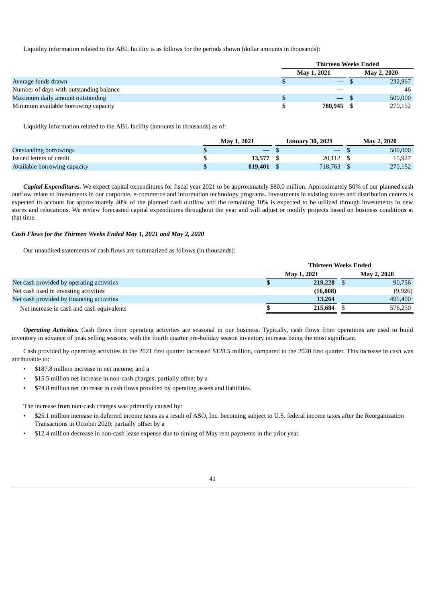Liquidity information related to the ABL facility is as follows for the periods shown (dollar amounts in thousands):

|                                         | <b>Thirteen Weeks Ended</b> |  |             |
|-----------------------------------------|-----------------------------|--|-------------|
|                                         | May 1, 2021                 |  | May 2, 2020 |
| Average funds drawn                     |                             |  | 232,967     |
| Number of days with outstanding balance |                             |  | 46          |
| Maximum daily amount outstanding        | $\overline{\phantom{0}}$    |  | 500,000     |
| Minimum available borrowing capacity    | 780,945                     |  | 270,152     |

Liquidity information related to the ABL facility (amounts in thousands) as of:

|                               | May 1, 2021 | <b>January 30, 2021</b> | May 2, 2020 |
|-------------------------------|-------------|-------------------------|-------------|
| <b>Outstanding borrowings</b> |             | _                       | 500,000     |
| Issued letters of credit      | 13.577      | 20,112                  | 15.927      |
| Available borrowing capacity  | 819,401     | 718,763                 | 270,152     |

*Capital Expenditures.* We expect capital expenditures for fiscal year 2021 to be approximately \$80.0 million. Approximately 50% of our planned cash outflow relate to investments in our corporate, e-commerce and information technology programs. Investments in existing stores and distribution centers is expected to account for approximately 40% of the planned cash outflow and the remaining 10% is expected to be utilized through investments in new stores and relocations. We review forecasted capital expenditures throughout the year and will adjust or modify projects based on business conditions at that time.

#### *Cash Flows for the Thirteen Weeks Ended May 1, 2021 and May 2, 2020*

Our unaudited statements of cash flows are summarized as follows (in thousands):

|                                           | Thirteen Weeks Ended |             |  |             |
|-------------------------------------------|----------------------|-------------|--|-------------|
|                                           |                      | May 1, 2021 |  | May 2, 2020 |
| Net cash provided by operating activities |                      | 219,228     |  | 90,756      |
| Net cash used in investing activities     |                      | (16, 808)   |  | (9,926)     |
| Net cash provided by financing activities |                      | 13,264      |  | 495,400     |
| Net increase in cash and cash equivalents |                      | 215,684     |  | 576,230     |

*Operating Activities.* Cash flows from operating activities are seasonal in our business. Typically, cash flows from operations are used to build inventory in advance of peak selling seasons, with the fourth quarter pre-holiday season inventory increase being the most significant.

Cash provided by operating activities in the 2021 first quarter increased \$128.5 million, compared to the 2020 first quarter. This increase in cash was attributable to:

- \$187.8 million increase in net income; and a
- \$15.5 million net increase in non-cash charges; partially offset by a
- \$74.8 million net decrease in cash flows provided by operating assets and liabilities.

The increase from non-cash charges was primarily caused by:

- \$25.1 million increase in deferred income taxes as a result of ASO, Inc. becoming subject to U.S. federal income taxes after the Reorganization Transactions in October 2020; partially offset by a
- \$12.4 million decrease in non-cash lease expense due to timing of May rent payments in the prior year.

<sup>41</sup>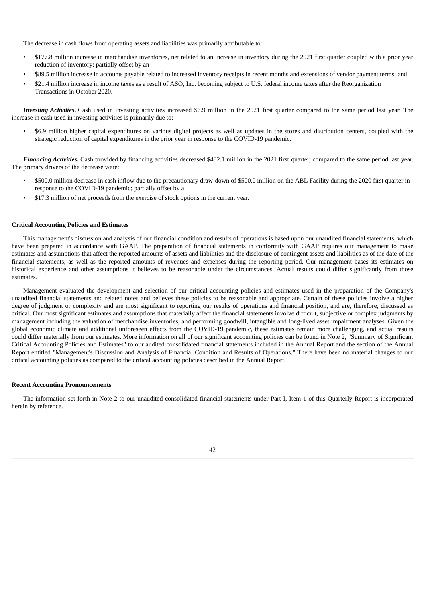The decrease in cash flows from operating assets and liabilities was primarily attributable to:

- \$177.8 million increase in merchandise inventories, net related to an increase in inventory during the 2021 first quarter coupled with a prior year reduction of inventory; partially offset by an
- \$89.5 million increase in accounts payable related to increased inventory receipts in recent months and extensions of vendor payment terms; and
- \$21.4 million increase in income taxes as a result of ASO, Inc. becoming subject to U.S. federal income taxes after the Reorganization Transactions in October 2020.

*Investing Activities***.** Cash used in investing activities increased \$6.9 million in the 2021 first quarter compared to the same period last year. The increase in cash used in investing activities is primarily due to:

• \$6.9 million higher capital expenditures on various digital projects as well as updates in the stores and distribution centers, coupled with the strategic reduction of capital expenditures in the prior year in response to the COVID-19 pandemic.

*Financing Activities***.** Cash provided by financing activities decreased \$482.1 million in the 2021 first quarter, compared to the same period last year. The primary drivers of the decrease were:

- \$500.0 million decrease in cash inflow due to the precautionary draw-down of \$500.0 million on the ABL Facility during the 2020 first quarter in response to the COVID-19 pandemic; partially offset by a
- \$17.3 million of net proceeds from the exercise of stock options in the current year.

#### **Critical Accounting Policies and Estimates**

This management's discussion and analysis of our financial condition and results of operations is based upon our unaudited financial statements, which have been prepared in accordance with GAAP. The preparation of financial statements in conformity with GAAP requires our management to make estimates and assumptions that affect the reported amounts of assets and liabilities and the disclosure of contingent assets and liabilities as of the date of the financial statements, as well as the reported amounts of revenues and expenses during the reporting period. Our management bases its estimates on historical experience and other assumptions it believes to be reasonable under the circumstances. Actual results could differ significantly from those estimates.

Management evaluated the development and selection of our critical accounting policies and estimates used in the preparation of the Company's unaudited financial statements and related notes and believes these policies to be reasonable and appropriate. Certain of these policies involve a higher degree of judgment or complexity and are most significant to reporting our results of operations and financial position, and are, therefore, discussed as critical. Our most significant estimates and assumptions that materially affect the financial statements involve difficult, subjective or complex judgments by management including the valuation of merchandise inventories, and performing goodwill, intangible and long-lived asset impairment analyses. Given the global economic climate and additional unforeseen effects from the COVID-19 pandemic, these estimates remain more challenging, and actual results could differ materially from our estimates. More information on all of our significant accounting policies can be found in Note 2, "Summary of Significant Critical Accounting Policies and Estimates" to our audited consolidated financial statements included in the Annual Report and the section of the Annual Report entitled "Management's Discussion and Analysis of Financial Condition and Results of Operations." There have been no material changes to our critical accounting policies as compared to the critical accounting policies described in the Annual Report.

#### **Recent Accounting Pronouncements**

The information set forth in Note 2 to our unaudited consolidated financial statements under Part I, Item 1 of this Quarterly Report is incorporated herein by reference.

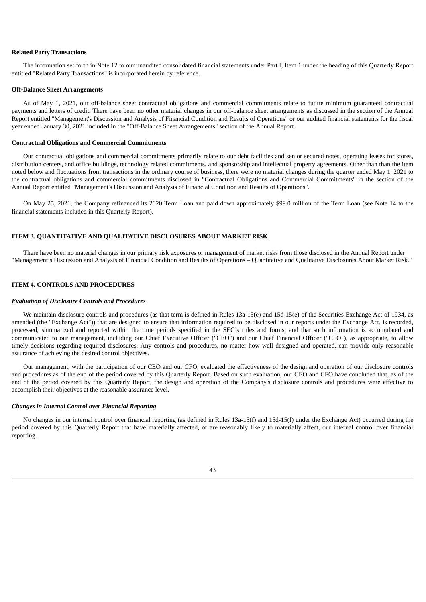# **Related Party Transactions**

The information set forth in Note 12 to our unaudited consolidated financial statements under Part I, Item 1 under the heading of this Quarterly Report entitled "Related Party Transactions" is incorporated herein by reference.

#### **Off-Balance Sheet Arrangements**

As of May 1, 2021, our off-balance sheet contractual obligations and commercial commitments relate to future minimum guaranteed contractual payments and letters of credit. There have been no other material changes in our off-balance sheet arrangements as discussed in the section of the Annual Report entitled "Management's Discussion and Analysis of Financial Condition and Results of Operations" or our audited financial statements for the fiscal year ended January 30, 2021 included in the "Off-Balance Sheet Arrangements" section of the Annual Report.

#### **Contractual Obligations and Commercial Commitments**

Our contractual obligations and commercial commitments primarily relate to our debt facilities and senior secured notes, operating leases for stores, distribution centers, and office buildings, technology related commitments, and sponsorship and intellectual property agreements. Other than than the item noted below and fluctuations from transactions in the ordinary course of business, there were no material changes during the quarter ended May 1, 2021 to the contractual obligations and commercial commitments disclosed in "Contractual Obligations and Commercial Commitments" in the section of the Annual Report entitled "Management's Discussion and Analysis of Financial Condition and Results of Operations".

On May 25, 2021, the Company refinanced its 2020 Term Loan and paid down approximately \$99.0 million of the Term Loan (see Note 14 to the financial statements included in this Quarterly Report).

#### <span id="page-42-0"></span>**ITEM 3. QUANTITATIVE AND QUALITATIVE DISCLOSURES ABOUT MARKET RISK**

There have been no material changes in our primary risk exposures or management of market risks from those disclosed in the Annual Report under "Management's Discussion and Analysis of Financial Condition and Results of Operations – Quantitative and Qualitative Disclosures About Market Risk."

#### <span id="page-42-1"></span>**ITEM 4. CONTROLS AND PROCEDURES**

#### *Evaluation of Disclosure Controls and Procedures*

We maintain disclosure controls and procedures (as that term is defined in Rules 13a-15(e) and 15d-15(e) of the Securities Exchange Act of 1934, as amended (the "Exchange Act")) that are designed to ensure that information required to be disclosed in our reports under the Exchange Act, is recorded, processed, summarized and reported within the time periods specified in the SEC's rules and forms, and that such information is accumulated and communicated to our management, including our Chief Executive Officer ("CEO") and our Chief Financial Officer ("CFO"), as appropriate, to allow timely decisions regarding required disclosures. Any controls and procedures, no matter how well designed and operated, can provide only reasonable assurance of achieving the desired control objectives.

Our management, with the participation of our CEO and our CFO, evaluated the effectiveness of the design and operation of our disclosure controls and procedures as of the end of the period covered by this Quarterly Report. Based on such evaluation, our CEO and CFO have concluded that, as of the end of the period covered by this Quarterly Report, the design and operation of the Company's disclosure controls and procedures were effective to accomplish their objectives at the reasonable assurance level.

#### *Changes in Internal Control over Financial Reporting*

<span id="page-42-2"></span>No changes in our internal control over financial reporting (as defined in Rules 13a-15(f) and 15d-15(f) under the Exchange Act) occurred during the period covered by this Quarterly Report that have materially affected, or are reasonably likely to materially affect, our internal control over financial reporting.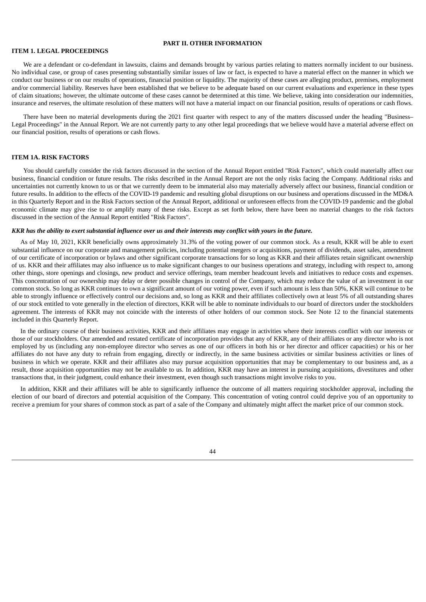#### **PART II. OTHER INFORMATION**

# <span id="page-43-0"></span>**ITEM 1. LEGAL PROCEEDINGS**

We are a defendant or co-defendant in lawsuits, claims and demands brought by various parties relating to matters normally incident to our business. No individual case, or group of cases presenting substantially similar issues of law or fact, is expected to have a material effect on the manner in which we conduct our business or on our results of operations, financial position or liquidity. The majority of these cases are alleging product, premises, employment and/or commercial liability. Reserves have been established that we believe to be adequate based on our current evaluations and experience in these types of claim situations; however, the ultimate outcome of these cases cannot be determined at this time. We believe, taking into consideration our indemnities, insurance and reserves, the ultimate resolution of these matters will not have a material impact on our financial position, results of operations or cash flows.

There have been no material developments during the 2021 first quarter with respect to any of the matters discussed under the heading "Business– Legal Proceedings" in the Annual Report. We are not currently party to any other legal proceedings that we believe would have a material adverse effect on our financial position, results of operations or cash flows.

#### <span id="page-43-1"></span>**ITEM 1A. RISK FACTORS**

You should carefully consider the risk factors discussed in the section of the Annual Report entitled "Risk Factors", which could materially affect our business, financial condition or future results. The risks described in the Annual Report are not the only risks facing the Company. Additional risks and uncertainties not currently known to us or that we currently deem to be immaterial also may materially adversely affect our business, financial condition or future results. In addition to the effects of the COVID-19 pandemic and resulting global disruptions on our business and operations discussed in the MD&A in this Quarterly Report and in the Risk Factors section of the Annual Report, additional or unforeseen effects from the COVID-19 pandemic and the global economic climate may give rise to or amplify many of these risks. Except as set forth below, there have been no material changes to the risk factors discussed in the section of the Annual Report entitled "Risk Factors".

# KKR has the ability to exert substantial influence over us and their interests may conflict with yours in the future.

As of May 10, 2021, KKR beneficially owns approximately 31.3% of the voting power of our common stock. As a result, KKR will be able to exert substantial influence on our corporate and management policies, including potential mergers or acquisitions, payment of dividends, asset sales, amendment of our certificate of incorporation or bylaws and other significant corporate transactions for so long as KKR and their affiliates retain significant ownership of us. KKR and their affiliates may also influence us to make significant changes to our business operations and strategy, including with respect to, among other things, store openings and closings, new product and service offerings, team member headcount levels and initiatives to reduce costs and expenses. This concentration of our ownership may delay or deter possible changes in control of the Company, which may reduce the value of an investment in our common stock. So long as KKR continues to own a significant amount of our voting power, even if such amount is less than 50%, KKR will continue to be able to strongly influence or effectively control our decisions and, so long as KKR and their affiliates collectively own at least 5% of all outstanding shares of our stock entitled to vote generally in the election of directors, KKR will be able to nominate individuals to our board of directors under the stockholders agreement. The interests of KKR may not coincide with the interests of other holders of our common stock. See Note 12 to the financial statements included in this Quarterly Report.

In the ordinary course of their business activities, KKR and their affiliates may engage in activities where their interests conflict with our interests or those of our stockholders. Our amended and restated certificate of incorporation provides that any of KKR, any of their affiliates or any director who is not employed by us (including any non-employee director who serves as one of our officers in both his or her director and officer capacities) or his or her affiliates do not have any duty to refrain from engaging, directly or indirectly, in the same business activities or similar business activities or lines of business in which we operate. KKR and their affiliates also may pursue acquisition opportunities that may be complementary to our business and, as a result, those acquisition opportunities may not be available to us. In addition, KKR may have an interest in pursuing acquisitions, divestitures and other transactions that, in their judgment, could enhance their investment, even though such transactions might involve risks to you.

<span id="page-43-2"></span>In addition, KKR and their affiliates will be able to significantly influence the outcome of all matters requiring stockholder approval, including the election of our board of directors and potential acquisition of the Company. This concentration of voting control could deprive you of an opportunity to receive a premium for your shares of common stock as part of a sale of the Company and ultimately might affect the market price of our common stock.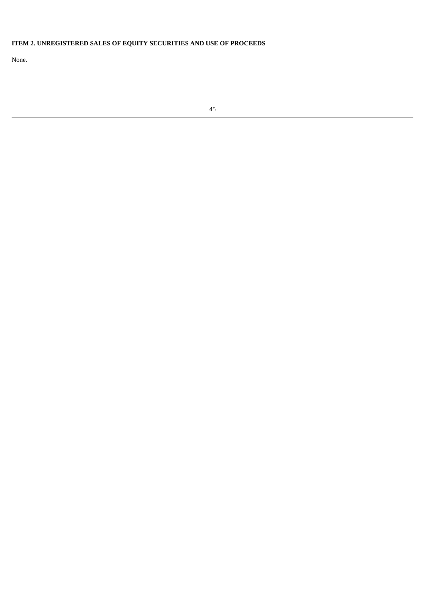# **ITEM 2. UNREGISTERED SALES OF EQUITY SECURITIES AND USE OF PROCEEDS**

<span id="page-44-0"></span>None.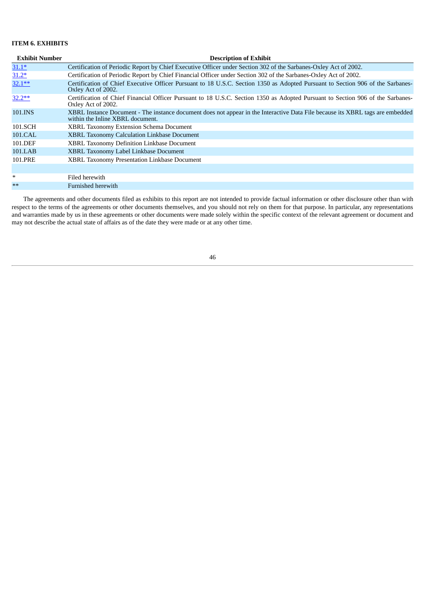# **ITEM 6. EXHIBITS**

| Exhibit Number | <b>Description of Exhibit</b>                                                                                                                                      |
|----------------|--------------------------------------------------------------------------------------------------------------------------------------------------------------------|
| $31.1*$        | Certification of Periodic Report by Chief Executive Officer under Section 302 of the Sarbanes-Oxley Act of 2002.                                                   |
| $31.2*$        | Certification of Periodic Report by Chief Financial Officer under Section 302 of the Sarbanes-Oxley Act of 2002.                                                   |
| $32.1**$       | Certification of Chief Executive Officer Pursuant to 18 U.S.C. Section 1350 as Adopted Pursuant to Section 906 of the Sarbanes-<br>Oxley Act of 2002.              |
| $32.2**$       | Certification of Chief Financial Officer Pursuant to 18 U.S.C. Section 1350 as Adopted Pursuant to Section 906 of the Sarbanes-<br>Oxley Act of 2002.              |
| 101.INS        | XBRL Instance Document - The instance document does not appear in the Interactive Data File because its XBRL tags are embedded<br>within the Inline XBRL document. |
| 101.SCH        | <b>XBRL Taxonomy Extension Schema Document</b>                                                                                                                     |
| 101.CAL        | <b>XBRL Taxonomy Calculation Linkbase Document</b>                                                                                                                 |
| 101.DEF        | <b>XBRL Taxonomy Definition Linkbase Document</b>                                                                                                                  |
| 101.LAB        | XBRL Taxonomy Label Linkbase Document                                                                                                                              |
| 101.PRE        | XBRL Taxonomy Presentation Linkbase Document                                                                                                                       |
|                |                                                                                                                                                                    |
| $*$            | Filed herewith                                                                                                                                                     |
| $***$          | Furnished herewith                                                                                                                                                 |

<span id="page-45-0"></span>The agreements and other documents filed as exhibits to this report are not intended to provide factual information or other disclosure other than with respect to the terms of the agreements or other documents themselves, and you should not rely on them for that purpose. In particular, any representations and warranties made by us in these agreements or other documents were made solely within the specific context of the relevant agreement or document and may not describe the actual state of affairs as of the date they were made or at any other time.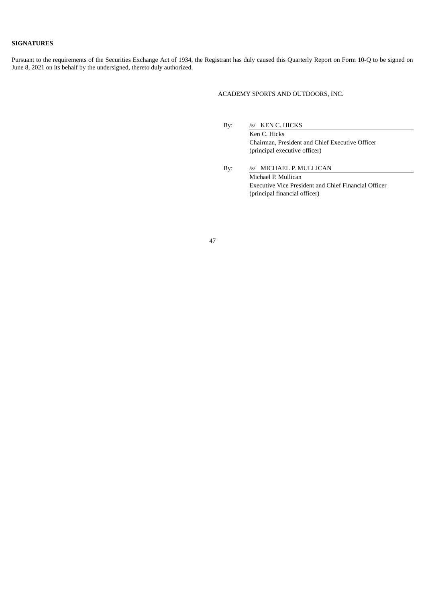# **SIGNATURES**

Pursuant to the requirements of the Securities Exchange Act of 1934, the Registrant has duly caused this Quarterly Report on Form 10-Q to be signed on June 8, 2021 on its behalf by the undersigned, thereto duly authorized.

ACADEMY SPORTS AND OUTDOORS, INC.

- By: /s/ KEN C. HICKS Ken C. Hicks Chairman, President and Chief Executive Officer (principal executive officer)
- By: /s/ MICHAEL P. MULLICAN Michael P. Mullican Executive Vice President and Chief Financial Officer (principal financial officer)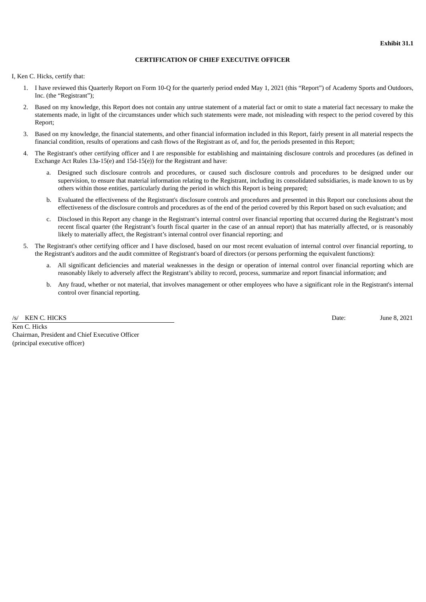# **CERTIFICATION OF CHIEF EXECUTIVE OFFICER**

<span id="page-47-0"></span>I, Ken C. Hicks, certify that:

- 1. I have reviewed this Quarterly Report on Form 10-Q for the quarterly period ended May 1, 2021 (this "Report") of Academy Sports and Outdoors, Inc. (the "Registrant");
- 2. Based on my knowledge, this Report does not contain any untrue statement of a material fact or omit to state a material fact necessary to make the statements made, in light of the circumstances under which such statements were made, not misleading with respect to the period covered by this Report;
- 3. Based on my knowledge, the financial statements, and other financial information included in this Report, fairly present in all material respects the financial condition, results of operations and cash flows of the Registrant as of, and for, the periods presented in this Report;
- 4. The Registrant's other certifying officer and I are responsible for establishing and maintaining disclosure controls and procedures (as defined in Exchange Act Rules 13a-15(e) and 15d-15(e)) for the Registrant and have:
	- a. Designed such disclosure controls and procedures, or caused such disclosure controls and procedures to be designed under our supervision, to ensure that material information relating to the Registrant, including its consolidated subsidiaries, is made known to us by others within those entities, particularly during the period in which this Report is being prepared;
	- b. Evaluated the effectiveness of the Registrant's disclosure controls and procedures and presented in this Report our conclusions about the effectiveness of the disclosure controls and procedures as of the end of the period covered by this Report based on such evaluation; and
	- c. Disclosed in this Report any change in the Registrant's internal control over financial reporting that occurred during the Registrant's most recent fiscal quarter (the Registrant's fourth fiscal quarter in the case of an annual report) that has materially affected, or is reasonably likely to materially affect, the Registrant's internal control over financial reporting; and
- 5. The Registrant's other certifying officer and I have disclosed, based on our most recent evaluation of internal control over financial reporting, to the Registrant's auditors and the audit committee of Registrant's board of directors (or persons performing the equivalent functions):
	- a. All significant deficiencies and material weaknesses in the design or operation of internal control over financial reporting which are reasonably likely to adversely affect the Registrant's ability to record, process, summarize and report financial information; and
	- b. Any fraud, whether or not material, that involves management or other employees who have a significant role in the Registrant's internal control over financial reporting.

/s/ KEN C. HICKS Date: June 8, 2021

Ken C. Hicks Chairman, President and Chief Executive Officer (principal executive officer)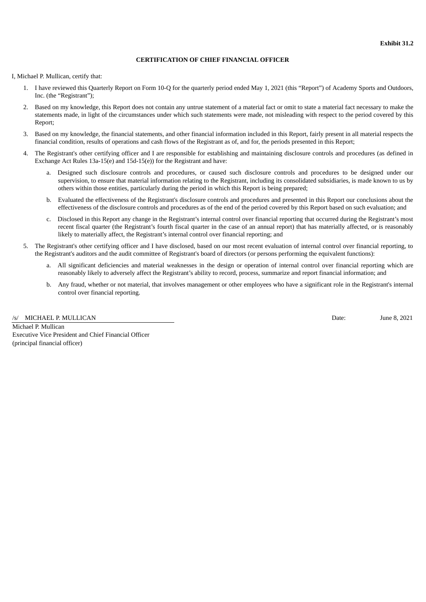# **CERTIFICATION OF CHIEF FINANCIAL OFFICER**

<span id="page-48-0"></span>I, Michael P. Mullican, certify that:

- 1. I have reviewed this Quarterly Report on Form 10-Q for the quarterly period ended May 1, 2021 (this "Report") of Academy Sports and Outdoors, Inc. (the "Registrant");
- 2. Based on my knowledge, this Report does not contain any untrue statement of a material fact or omit to state a material fact necessary to make the statements made, in light of the circumstances under which such statements were made, not misleading with respect to the period covered by this Report;
- 3. Based on my knowledge, the financial statements, and other financial information included in this Report, fairly present in all material respects the financial condition, results of operations and cash flows of the Registrant as of, and for, the periods presented in this Report;
- 4. The Registrant's other certifying officer and I are responsible for establishing and maintaining disclosure controls and procedures (as defined in Exchange Act Rules 13a-15(e) and 15d-15(e)) for the Registrant and have:
	- a. Designed such disclosure controls and procedures, or caused such disclosure controls and procedures to be designed under our supervision, to ensure that material information relating to the Registrant, including its consolidated subsidiaries, is made known to us by others within those entities, particularly during the period in which this Report is being prepared;
	- b. Evaluated the effectiveness of the Registrant's disclosure controls and procedures and presented in this Report our conclusions about the effectiveness of the disclosure controls and procedures as of the end of the period covered by this Report based on such evaluation; and
	- c. Disclosed in this Report any change in the Registrant's internal control over financial reporting that occurred during the Registrant's most recent fiscal quarter (the Registrant's fourth fiscal quarter in the case of an annual report) that has materially affected, or is reasonably likely to materially affect, the Registrant's internal control over financial reporting; and
- 5. The Registrant's other certifying officer and I have disclosed, based on our most recent evaluation of internal control over financial reporting, to the Registrant's auditors and the audit committee of Registrant's board of directors (or persons performing the equivalent functions):
	- a. All significant deficiencies and material weaknesses in the design or operation of internal control over financial reporting which are reasonably likely to adversely affect the Registrant's ability to record, process, summarize and report financial information; and
	- b. Any fraud, whether or not material, that involves management or other employees who have a significant role in the Registrant's internal control over financial reporting.

/s/ MICHAEL P. MULLICAN Date: June 8, 2021

Michael P. Mullican Executive Vice President and Chief Financial Officer (principal financial officer)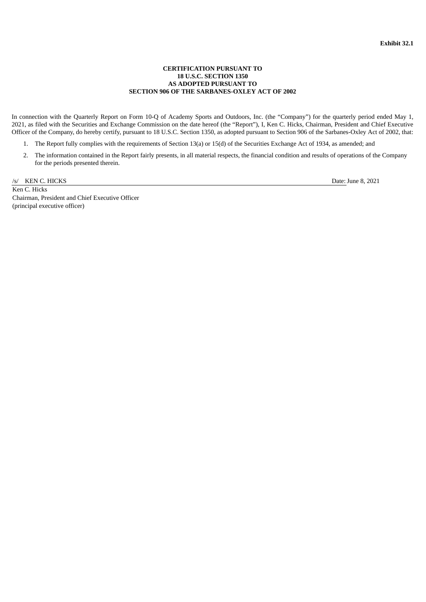# **CERTIFICATION PURSUANT TO 18 U.S.C. SECTION 1350 AS ADOPTED PURSUANT TO SECTION 906 OF THE SARBANES-OXLEY ACT OF 2002**

<span id="page-49-0"></span>In connection with the Quarterly Report on Form 10-Q of Academy Sports and Outdoors, Inc. (the "Company") for the quarterly period ended May 1, 2021, as filed with the Securities and Exchange Commission on the date hereof (the "Report"), I, Ken C. Hicks, Chairman, President and Chief Executive Officer of the Company, do hereby certify, pursuant to 18 U.S.C. Section 1350, as adopted pursuant to Section 906 of the Sarbanes-Oxley Act of 2002, that:

- 1. The Report fully complies with the requirements of Section 13(a) or 15(d) of the Securities Exchange Act of 1934, as amended; and
- 2. The information contained in the Report fairly presents, in all material respects, the financial condition and results of operations of the Company for the periods presented therein.

/s/ KEN C. HICKS Date: June 8, 2021

Ken C. Hicks Chairman, President and Chief Executive Officer (principal executive officer)